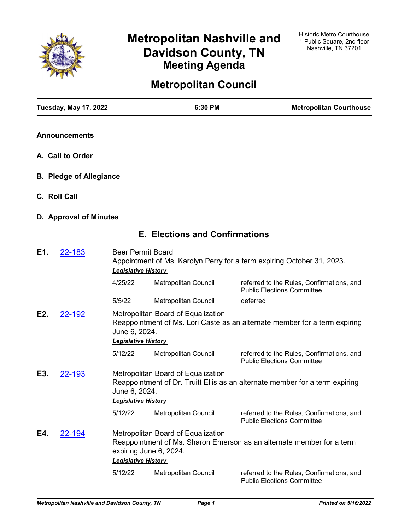

# **Metropolitan Nashville and Davidson County, TN Meeting Agenda**

# **Metropolitan Council**

| <b>Tuesday, May 17, 2022</b>   |                                             | 6:30 PM                                                      | <b>Metropolitan Courthouse</b>                                                 |
|--------------------------------|---------------------------------------------|--------------------------------------------------------------|--------------------------------------------------------------------------------|
| <b>Announcements</b>           |                                             |                                                              |                                                                                |
| A. Call to Order               |                                             |                                                              |                                                                                |
| <b>B. Pledge of Allegiance</b> |                                             |                                                              |                                                                                |
| C. Roll Call                   |                                             |                                                              |                                                                                |
| D. Approval of Minutes         |                                             |                                                              |                                                                                |
|                                |                                             | <b>E. Elections and Confirmations</b>                        |                                                                                |
| E1.<br><u>22-183</u>           | <b>Legislative History</b>                  | <b>Beer Permit Board</b>                                     | Appointment of Ms. Karolyn Perry for a term expiring October 31, 2023.         |
|                                | 4/25/22                                     | Metropolitan Council                                         | referred to the Rules, Confirmations, and<br><b>Public Elections Committee</b> |
|                                | 5/5/22                                      | Metropolitan Council                                         | deferred                                                                       |
| E2.<br>22-192                  | June 6, 2024.                               | Metropolitan Board of Equalization                           | Reappointment of Ms. Lori Caste as an alternate member for a term expiring     |
|                                | <b>Legislative History</b><br>5/12/22       | Metropolitan Council                                         | referred to the Rules, Confirmations, and<br><b>Public Elections Committee</b> |
| E3.<br>22-193                  | June 6, 2024.<br><b>Legislative History</b> | Metropolitan Board of Equalization                           | Reappointment of Dr. Truitt Ellis as an alternate member for a term expiring   |
|                                | 5/12/22                                     | Metropolitan Council                                         | referred to the Rules, Confirmations, and<br><b>Public Elections Committee</b> |
| E4.<br><u>22-194</u>           | <b>Legislative History</b>                  | Metropolitan Board of Equalization<br>expiring June 6, 2024. | Reappointment of Ms. Sharon Emerson as an alternate member for a term          |
|                                | 5/12/22                                     | Metropolitan Council                                         | referred to the Rules, Confirmations, and<br><b>Public Elections Committee</b> |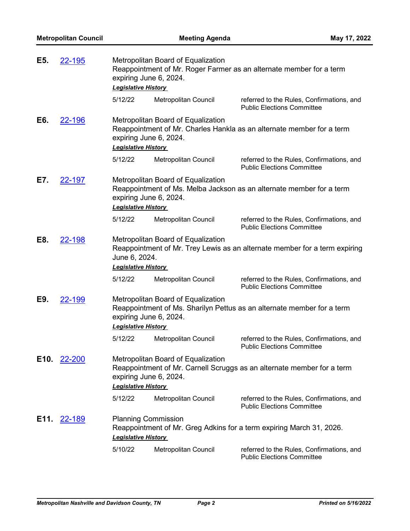| E5.  | 22-195        | expiring June 6, 2024.<br><b>Legislative History</b>     | Metropolitan Board of Equalization | Reappointment of Mr. Roger Farmer as an alternate member for a term            |
|------|---------------|----------------------------------------------------------|------------------------------------|--------------------------------------------------------------------------------|
|      |               | 5/12/22                                                  | Metropolitan Council               | referred to the Rules, Confirmations, and<br><b>Public Elections Committee</b> |
| E6.  | <u>22-196</u> | expiring June 6, 2024.<br><b>Legislative History</b>     | Metropolitan Board of Equalization | Reappointment of Mr. Charles Hankla as an alternate member for a term          |
|      |               | 5/12/22                                                  | Metropolitan Council               | referred to the Rules, Confirmations, and<br><b>Public Elections Committee</b> |
| E7.  | <b>22-197</b> | expiring June 6, 2024.<br><b>Legislative History</b>     | Metropolitan Board of Equalization | Reappointment of Ms. Melba Jackson as an alternate member for a term           |
|      |               | 5/12/22                                                  | Metropolitan Council               | referred to the Rules, Confirmations, and<br><b>Public Elections Committee</b> |
| E8.  | 22-198        | June 6, 2024.<br><b>Legislative History</b>              | Metropolitan Board of Equalization | Reappointment of Mr. Trey Lewis as an alternate member for a term expiring     |
|      |               | 5/12/22                                                  | Metropolitan Council               | referred to the Rules, Confirmations, and<br><b>Public Elections Committee</b> |
| E9.  | <u>22-199</u> | expiring June 6, 2024.<br><b>Legislative History</b>     | Metropolitan Board of Equalization | Reappointment of Ms. Sharilyn Pettus as an alternate member for a term         |
|      |               | 5/12/22                                                  | Metropolitan Council               | referred to the Rules, Confirmations, and<br><b>Public Elections Committee</b> |
| E10. | 22-200        | expiring June 6, 2024.<br><b>Legislative History</b>     | Metropolitan Board of Equalization | Reappointment of Mr. Carnell Scruggs as an alternate member for a term         |
|      |               | 5/12/22                                                  | Metropolitan Council               | referred to the Rules, Confirmations, and<br><b>Public Elections Committee</b> |
| E11. | <u>22-189</u> | <b>Planning Commission</b><br><b>Legislative History</b> |                                    | Reappointment of Mr. Greg Adkins for a term expiring March 31, 2026.           |
|      |               | 5/10/22                                                  | Metropolitan Council               | referred to the Rules, Confirmations, and<br><b>Public Elections Committee</b> |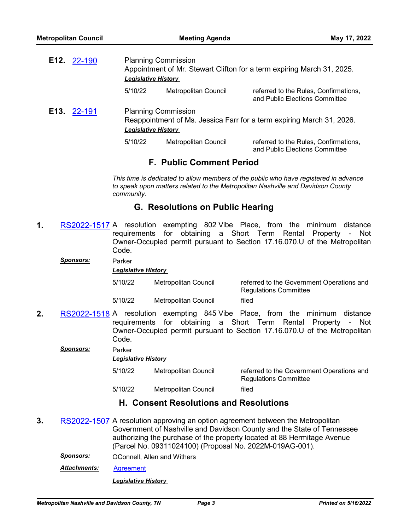| E12. 22-190 | <b>Planning Commission</b><br><b>Legislative History</b> |                      | Appointment of Mr. Stewart Clifton for a term expiring March 31, 2025.  |
|-------------|----------------------------------------------------------|----------------------|-------------------------------------------------------------------------|
|             | 5/10/22                                                  | Metropolitan Council | referred to the Rules, Confirmations,<br>and Public Elections Committee |
| E13. 22-191 | <b>Planning Commission</b><br><b>Legislative History</b> |                      | Reappointment of Ms. Jessica Farr for a term expiring March 31, 2026.   |
|             | 5/10/22                                                  | Metropolitan Council | referred to the Rules, Confirmations,<br>and Public Elections Committee |

# **F. Public Comment Period**

*This time is dedicated to allow members of the public who have registered in advance to speak upon matters related to the Metropolitan Nashville and Davidson County community.*

# **G. Resolutions on Public Hearing**

**1.** [RS2022-1517](http://nashville.legistar.com/gateway.aspx?m=l&id=/matter.aspx?key=14454) A resolution exempting 802 Vibe Place, from the minimum distance requirements for obtaining a Short Term Rental Property - Not Owner-Occupied permit pursuant to Section 17.16.070.U of the Metropolitan Code.

| Sponsors: | Parker<br><b>Legislative History</b> |                      |                                                                           |
|-----------|--------------------------------------|----------------------|---------------------------------------------------------------------------|
|           | 5/10/22                              | Metropolitan Council | referred to the Government Operations and<br><b>Regulations Committee</b> |
|           | 5/10/22                              | Metropolitan Council | filed                                                                     |
|           |                                      |                      |                                                                           |

**2.** [RS2022-1518](http://nashville.legistar.com/gateway.aspx?m=l&id=/matter.aspx?key=14455) A resolution exempting 845 Vibe Place, from the minimum distance requirements for obtaining a Short Term Rental Property - Not Owner-Occupied permit pursuant to Section 17.16.070.U of the Metropolitan Code.

|  |  |  |  |  |  |  |  |  |  |  |  |  |  |  |  |  |  |  |  |  |  |  |  |  |  |  |  |  |  |  |                  |  | Parker |
|--|--|--|--|--|--|--|--|--|--|--|--|--|--|--|--|--|--|--|--|--|--|--|--|--|--|--|--|--|--|--|------------------|--|--------|
|  |  |  |  |  |  |  |  |  |  |  |  |  |  |  |  |  |  |  |  |  |  |  |  |  |  |  |  |  |  |  |                  |  |        |
|  |  |  |  |  |  |  |  |  |  |  |  |  |  |  |  |  |  |  |  |  |  |  |  |  |  |  |  |  |  |  |                  |  |        |
|  |  |  |  |  |  |  |  |  |  |  |  |  |  |  |  |  |  |  |  |  |  |  |  |  |  |  |  |  |  |  | <b>Sponsors:</b> |  |        |
|  |  |  |  |  |  |  |  |  |  |  |  |  |  |  |  |  |  |  |  |  |  |  |  |  |  |  |  |  |  |  |                  |  |        |

*Legislative History* 

| 5/10/22 | Metropolitan Council | referred to the Government Operations and<br><b>Regulations Committee</b> |
|---------|----------------------|---------------------------------------------------------------------------|
| 5/10/22 | Metropolitan Council | filed                                                                     |

# **H. Consent Resolutions and Resolutions**

- **3.** [RS2022-1507](http://nashville.legistar.com/gateway.aspx?m=l&id=/matter.aspx?key=14404) A resolution approving an option agreement between the Metropolitan Government of Nashville and Davidson County and the State of Tennessee authorizing the purchase of the property located at 88 Hermitage Avenue (Parcel No. 09311024100) (Proposal No. 2022M-019AG-001).
	- *Sponsors:* OConnell, Allen and Withers
	- *Attachments:* [Agreement](http://nashville.legistar.com/gateway.aspx?M=F&ID=2a099f88-2cf6-460a-b014-29b5a29164f8.pdf)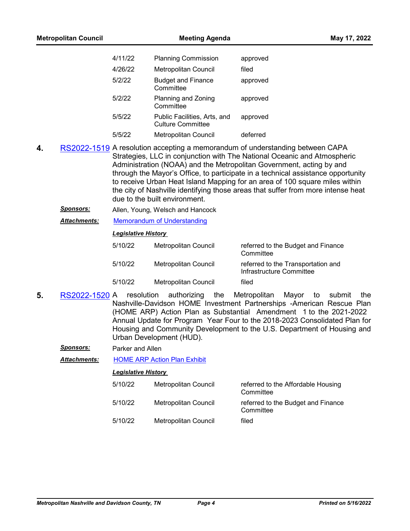| <b>Metropolitan Council</b> |         | <b>Meeting Agenda</b>                                    | May 17, 2022                                                                  |
|-----------------------------|---------|----------------------------------------------------------|-------------------------------------------------------------------------------|
|                             | 4/11/22 | <b>Planning Commission</b>                               | approved                                                                      |
|                             | 4/26/22 | Metropolitan Council                                     | filed                                                                         |
|                             | 5/2/22  | <b>Budget and Finance</b><br>Committee                   | approved                                                                      |
|                             | 5/2/22  | Planning and Zoning<br>Committee                         | approved                                                                      |
|                             | 5/5/22  | Public Facilities, Arts, and<br><b>Culture Committee</b> | approved                                                                      |
|                             | 5/5/22  | Metropolitan Council                                     | deferred                                                                      |
| 4.                          |         |                                                          | RS2022-1519 A resolution accepting a memorandum of understanding between CAPA |

- **4.** [RS2022-1519](http://nashville.legistar.com/gateway.aspx?m=l&id=/matter.aspx?key=14451) A resolution accepting a memorandum of understanding between CAPA Strategies, LLC in conjunction with The National Oceanic and Atmospheric Administration (NOAA) and the Metropolitan Government, acting by and through the Mayor's Office, to participate in a technical assistance opportunity to receive Urban Heat Island Mapping for an area of 100 square miles within the city of Nashville identifying those areas that suffer from more intense heat due to the built environment.
	- *Sponsors:* Allen, Young, Welsch and Hancock
	- *Attachments:* [Memorandum of Understanding](http://nashville.legistar.com/gateway.aspx?M=F&ID=60b948be-f117-4952-b907-e071662192d4.pdf)

#### *Legislative History*

| 5/10/22 | Metropolitan Council | referred to the Budget and Finance<br>Committee                |
|---------|----------------------|----------------------------------------------------------------|
| 5/10/22 | Metropolitan Council | referred to the Transportation and<br>Infrastructure Committee |
| 5/10/22 | Metropolitan Council | filed                                                          |

- **5.** [RS2022-1520](http://nashville.legistar.com/gateway.aspx?m=l&id=/matter.aspx?key=14479) A resolution authorizing the Metropolitan Mayor to submit the Nashville-Davidson HOME Investment Partnerships -American Rescue Plan (HOME ARP) Action Plan as Substantial Amendment 1 to the 2021-2022 Annual Update for Program Year Four to the 2018-2023 Consolidated Plan for Housing and Community Development to the U.S. Department of Housing and Urban Development (HUD).
	- *Sponsors:* Parker and Allen

*Attachments:* [HOME ARP Action Plan Exhibit](http://nashville.legistar.com/gateway.aspx?M=F&ID=dff7b497-7cd5-49d4-a6ee-d7b20f759ac1.docx)

| 5/10/22 | Metropolitan Council | referred to the Affordable Housing<br>Committee |
|---------|----------------------|-------------------------------------------------|
| 5/10/22 | Metropolitan Council | referred to the Budget and Finance<br>Committee |
| 5/10/22 | Metropolitan Council | filed                                           |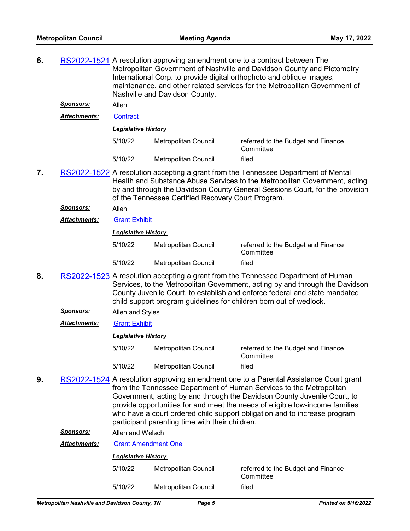**6.** [RS2022-1521](http://nashville.legistar.com/gateway.aspx?m=l&id=/matter.aspx?key=14440) A resolution approving amendment one to a contract between The Metropolitan Government of Nashville and Davidson County and Pictometry International Corp. to provide digital orthophoto and oblique images, maintenance, and other related services for the Metropolitan Government of Nashville and Davidson County. *Sponsors:* Allen *Attachments:* [Contract](http://nashville.legistar.com/gateway.aspx?M=F&ID=3c318519-c884-4297-8f3b-0a704c05364c.pdf) *Legislative History*  5/10/22 Metropolitan Council referred to the Budget and Finance **Committee** 5/10/22 Metropolitan Council filed **7.** [RS2022-1522](http://nashville.legistar.com/gateway.aspx?m=l&id=/matter.aspx?key=14450) A resolution accepting a grant from the Tennessee Department of Mental Health and Substance Abuse Services to the Metropolitan Government, acting by and through the Davidson County General Sessions Court, for the provision of the Tennessee Certified Recovery Court Program. *Sponsors:* Allen *Attachments:* [Grant Exhibit](http://nashville.legistar.com/gateway.aspx?M=F&ID=c8d87c9f-6b1b-4ccc-afc2-0a3e1ca11e82.pdf) *Legislative History*  5/10/22 Metropolitan Council referred to the Budget and Finance **Committee** 5/10/22 Metropolitan Council filed **8.** [RS2022-1523](http://nashville.legistar.com/gateway.aspx?m=l&id=/matter.aspx?key=14443) A resolution accepting a grant from the Tennessee Department of Human Services, to the Metropolitan Government, acting by and through the Davidson County Juvenile Court, to establish and enforce federal and state mandated child support program guidelines for children born out of wedlock. *Sponsors:* Allen and Styles *Attachments:* [Grant Exhibit](http://nashville.legistar.com/gateway.aspx?M=F&ID=865243aa-afc4-4846-9c12-7a8575442f09.pdf) *Legislative History*  5/10/22 Metropolitan Council referred to the Budget and Finance **Committee** 5/10/22 Metropolitan Council filed **9.** [RS2022-1524](http://nashville.legistar.com/gateway.aspx?m=l&id=/matter.aspx?key=14453) A resolution approving amendment one to a Parental Assistance Court grant from the Tennessee Department of Human Services to the Metropolitan Government, acting by and through the Davidson County Juvenile Court, to provide opportunities for and meet the needs of eligible low-income families who have a court ordered child support obligation and to increase program participant parenting time with their children. *Sponsors:* Allen and Welsch *Attachments:* [Grant Amendment One](http://nashville.legistar.com/gateway.aspx?M=F&ID=4de7dd5d-c610-41ab-8a2d-f80c7f096e67.pdf)

| <b>Legislative History</b> |                      |                                                 |
|----------------------------|----------------------|-------------------------------------------------|
| 5/10/22                    | Metropolitan Council | referred to the Budget and Finance<br>Committee |
| 5/10/22                    | Metropolitan Council | filed                                           |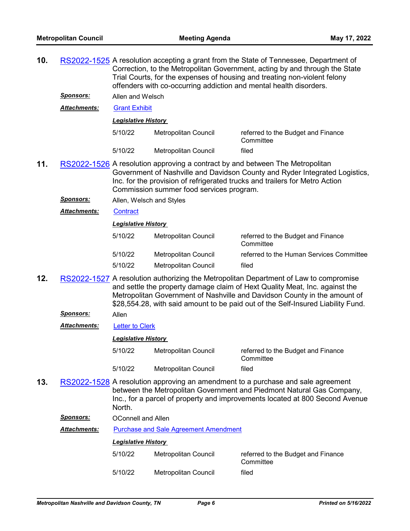**10.** [RS2022-1525](http://nashville.legistar.com/gateway.aspx?m=l&id=/matter.aspx?key=14444) A resolution accepting a grant from the State of Tennessee, Department of Correction, to the Metropolitan Government, acting by and through the State Trial Courts, for the expenses of housing and treating non-violent felony offenders with co-occurring addiction and mental health disorders.

*Sponsors:* Allen and Welsch

*Attachments:* [Grant Exhibit](http://nashville.legistar.com/gateway.aspx?M=F&ID=0923dfd5-e485-42bf-b82e-85343ad96c78.pdf)

*Legislative History* 

| 5/10/22 | Metropolitan Council | referred to the Budget and Finance<br>Committee |
|---------|----------------------|-------------------------------------------------|
| 5/10/22 | Metropolitan Council | filed                                           |

- **11.** [RS2022-1526](http://nashville.legistar.com/gateway.aspx?m=l&id=/matter.aspx?key=14462) A resolution approving a contract by and between The Metropolitan Government of Nashville and Davidson County and Ryder Integrated Logistics, Inc. for the provision of refrigerated trucks and trailers for Metro Action Commission summer food services program.
	- *Sponsors:* Allen, Welsch and Styles
	- *Attachments:* [Contract](http://nashville.legistar.com/gateway.aspx?M=F&ID=e45e877e-d3ca-45a5-b191-a3566bcc6bd6.pdf)

#### *Legislative History*

| 5/10/22 | Metropolitan Council | referred to the Budget and Finance<br>Committee |
|---------|----------------------|-------------------------------------------------|
| 5/10/22 | Metropolitan Council | referred to the Human Services Committee        |
| 5/10/22 | Metropolitan Council | filed                                           |

- **12.** [RS2022-1527](http://nashville.legistar.com/gateway.aspx?m=l&id=/matter.aspx?key=14468) A resolution authorizing the Metropolitan Department of Law to compromise and settle the property damage claim of Hext Quality Meat, Inc. against the Metropolitan Government of Nashville and Davidson County in the amount of \$28,554.28, with said amount to be paid out of the Self-Insured Liability Fund.
	- *Sponsors:* Allen

*Attachments:* [Letter to Clerk](http://nashville.legistar.com/gateway.aspx?M=F&ID=7b4ee6f4-211b-49c3-97c2-ca8fc400fca4.PDF)

*Legislative History* 

- 5/10/22 Metropolitan Council referred to the Budget and Finance **Committee** 5/10/22 Metropolitan Council filed
- **13.** [RS2022-1528](http://nashville.legistar.com/gateway.aspx?m=l&id=/matter.aspx?key=14458) A resolution approving an amendment to a purchase and sale agreement between the Metropolitan Government and Piedmont Natural Gas Company, Inc., for a parcel of property and improvements located at 800 Second Avenue **North**

*Sponsors:* OConnell and Allen

*Attachments:* [Purchase and Sale Agreement Amendment](http://nashville.legistar.com/gateway.aspx?M=F&ID=f4df4254-611e-4915-9745-3be1e2d12eed.pdf)

| 5/10/22 | Metropolitan Council | referred to the Budget and Finance<br>Committee |
|---------|----------------------|-------------------------------------------------|
| 5/10/22 | Metropolitan Council | filed                                           |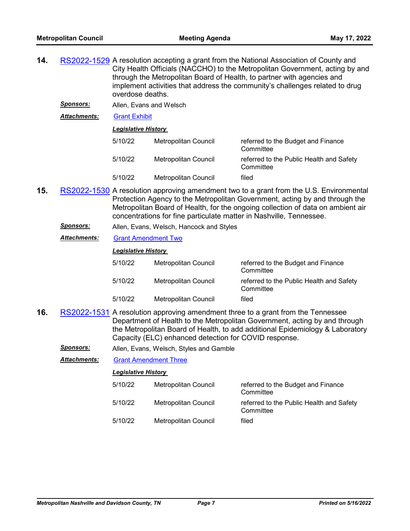- **14.** [RS2022-1529](http://nashville.legistar.com/gateway.aspx?m=l&id=/matter.aspx?key=14448) A resolution accepting a grant from the National Association of County and City Health Officials (NACCHO) to the Metropolitan Government, acting by and through the Metropolitan Board of Health, to partner with agencies and implement activities that address the community's challenges related to drug overdose deaths.
	- *Sponsors:* Allen, Evans and Welsch

*Attachments:* [Grant Exhibit](http://nashville.legistar.com/gateway.aspx?M=F&ID=923d56b7-f827-4314-a75d-b89bf6ee4638.pdf)

| 5/10/22 | Metropolitan Council | referred to the Budget and Finance<br>Committee       |
|---------|----------------------|-------------------------------------------------------|
| 5/10/22 | Metropolitan Council | referred to the Public Health and Safety<br>Committee |
| 5/10/22 | Metropolitan Council | filed                                                 |

- **15.** [RS2022-1530](http://nashville.legistar.com/gateway.aspx?m=l&id=/matter.aspx?key=14445) A resolution approving amendment two to a grant from the U.S. Environmental Protection Agency to the Metropolitan Government, acting by and through the Metropolitan Board of Health, for the ongoing collection of data on ambient air concentrations for fine particulate matter in Nashville, Tennessee.
	- *Sponsors:* Allen, Evans, Welsch, Hancock and Styles
	- *Attachments:* [Grant Amendment Two](http://nashville.legistar.com/gateway.aspx?M=F&ID=b529fa9c-eb5f-4621-8b9e-3f7f8d09ce89.pdf)

#### *Legislative History*

| 5/10/22 | Metropolitan Council | referred to the Budget and Finance<br>Committee       |
|---------|----------------------|-------------------------------------------------------|
| 5/10/22 | Metropolitan Council | referred to the Public Health and Safety<br>Committee |
| 5/10/22 | Metropolitan Council | filed                                                 |

- **16.** [RS2022-1531](http://nashville.legistar.com/gateway.aspx?m=l&id=/matter.aspx?key=14447) A resolution approving amendment three to a grant from the Tennessee Department of Health to the Metropolitan Government, acting by and through the Metropolitan Board of Health, to add additional Epidemiology & Laboratory Capacity (ELC) enhanced detection for COVID response.
	- *Sponsors:* Allen, Evans, Welsch, Styles and Gamble

*Attachments:* [Grant Amendment Three](http://nashville.legistar.com/gateway.aspx?M=F&ID=b94f818b-43f0-423b-abb8-8ff5a8add1ae.pdf)

| 5/10/22 | Metropolitan Council | referred to the Budget and Finance<br>Committee       |
|---------|----------------------|-------------------------------------------------------|
| 5/10/22 | Metropolitan Council | referred to the Public Health and Safety<br>Committee |
| 5/10/22 | Metropolitan Council | filed                                                 |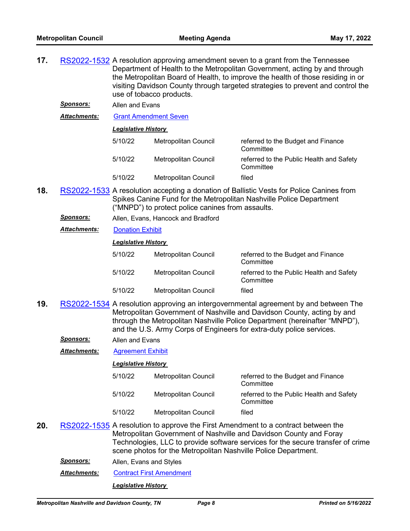- **17.** [RS2022-1532](http://nashville.legistar.com/gateway.aspx?m=l&id=/matter.aspx?key=14449) A resolution approving amendment seven to a grant from the Tennessee Department of Health to the Metropolitan Government, acting by and through the Metropolitan Board of Health, to improve the health of those residing in or visiting Davidson County through targeted strategies to prevent and control the use of tobacco products.
	- *Sponsors:* Allen and Evans

*Attachments:* [Grant Amendment Seven](http://nashville.legistar.com/gateway.aspx?M=F&ID=a2b8f147-9990-4838-8321-febf23600114.pdf)

|  | <b>Legislative History</b> |  |
|--|----------------------------|--|
|  |                            |  |

| 5/10/22 | Metropolitan Council | referred to the Budget and Finance<br>Committee       |
|---------|----------------------|-------------------------------------------------------|
| 5/10/22 | Metropolitan Council | referred to the Public Health and Safety<br>Committee |
| 5/10/22 | Metropolitan Council | filed                                                 |

- **18.** [RS2022-1533](http://nashville.legistar.com/gateway.aspx?m=l&id=/matter.aspx?key=14457) A resolution accepting a donation of Ballistic Vests for Police Canines from Spikes Canine Fund for the Metropolitan Nashville Police Department ("MNPD") to protect police canines from assaults.
	- *Sponsors:* Allen, Evans, Hancock and Bradford
	- *Attachments:* [Donation Exhibit](http://nashville.legistar.com/gateway.aspx?M=F&ID=62bebd9d-1985-4f88-96e1-a9f5010f85bc.pdf)

#### *Legislative History*

| 5/10/22 | Metropolitan Council | referred to the Budget and Finance<br>Committee       |
|---------|----------------------|-------------------------------------------------------|
| 5/10/22 | Metropolitan Council | referred to the Public Health and Safety<br>Committee |
| 5/10/22 | Metropolitan Council | filed                                                 |

- **19.** [RS2022-1534](http://nashville.legistar.com/gateway.aspx?m=l&id=/matter.aspx?key=14456) A resolution approving an intergovernmental agreement by and between The Metropolitan Government of Nashville and Davidson County, acting by and through the Metropolitan Nashville Police Department (hereinafter "MNPD"), and the U.S. Army Corps of Engineers for extra-duty police services.
	- *Sponsors:* Allen and Evans
	- *Attachments:* [Agreement Exhibit](http://nashville.legistar.com/gateway.aspx?M=F&ID=895b149b-9058-4b32-a54e-3d251b0677d4.pdf)

#### *Legislative History*

| 5/10/22 | Metropolitan Council | referred to the Budget and Finance<br>Committee       |
|---------|----------------------|-------------------------------------------------------|
| 5/10/22 | Metropolitan Council | referred to the Public Health and Safety<br>Committee |
| 5/10/22 | Metropolitan Council | filed                                                 |

- **20.** [RS2022-1535](http://nashville.legistar.com/gateway.aspx?m=l&id=/matter.aspx?key=14463) A resolution to approve the First Amendment to a contract between the Metropolitan Government of Nashville and Davidson County and Foray Technologies, LLC to provide software services for the secure transfer of crime scene photos for the Metropolitan Nashville Police Department.
	- *Sponsors:* Allen, Evans and Styles
	- **Attachments: [Contract First Amendment](http://nashville.legistar.com/gateway.aspx?M=F&ID=d40e680b-af93-49cf-92ab-19b4d70186fb.pdf)**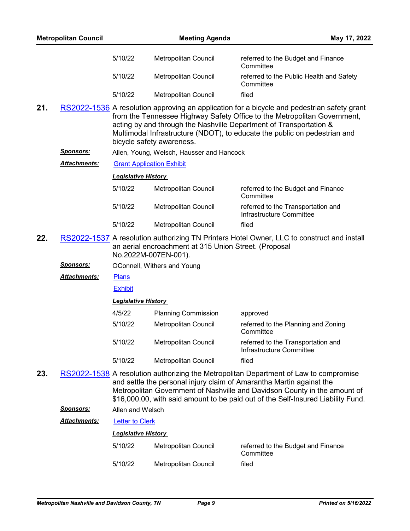|     | <b>Metropolitan Council</b> |                            | <b>Meeting Agenda</b>                                                         |                                                                                                                                                                                                                                                                                                                                | May 17, 2022 |
|-----|-----------------------------|----------------------------|-------------------------------------------------------------------------------|--------------------------------------------------------------------------------------------------------------------------------------------------------------------------------------------------------------------------------------------------------------------------------------------------------------------------------|--------------|
|     |                             | 5/10/22                    | <b>Metropolitan Council</b>                                                   | referred to the Budget and Finance<br>Committee                                                                                                                                                                                                                                                                                |              |
|     |                             | 5/10/22                    | Metropolitan Council                                                          | referred to the Public Health and Safety<br>Committee                                                                                                                                                                                                                                                                          |              |
|     |                             | 5/10/22                    | <b>Metropolitan Council</b>                                                   | filed                                                                                                                                                                                                                                                                                                                          |              |
| 21. |                             |                            | bicycle safety awareness.                                                     | RS2022-1536 A resolution approving an application for a bicycle and pedestrian safety grant<br>from the Tennessee Highway Safety Office to the Metropolitan Government,<br>acting by and through the Nashville Department of Transportation &<br>Multimodal Infrastructure (NDOT), to educate the public on pedestrian and     |              |
|     | <u>Sponsors:</u>            |                            | Allen, Young, Welsch, Hausser and Hancock                                     |                                                                                                                                                                                                                                                                                                                                |              |
|     | <u> Attachments:</u>        |                            | <b>Grant Application Exhibit</b>                                              |                                                                                                                                                                                                                                                                                                                                |              |
|     |                             | <b>Legislative History</b> |                                                                               |                                                                                                                                                                                                                                                                                                                                |              |
|     |                             | 5/10/22                    | <b>Metropolitan Council</b>                                                   | referred to the Budget and Finance<br>Committee                                                                                                                                                                                                                                                                                |              |
|     |                             | 5/10/22                    | Metropolitan Council                                                          | referred to the Transportation and<br>Infrastructure Committee                                                                                                                                                                                                                                                                 |              |
|     |                             | 5/10/22                    | Metropolitan Council                                                          | filed                                                                                                                                                                                                                                                                                                                          |              |
| 22. |                             |                            | an aerial encroachment at 315 Union Street. (Proposal<br>No.2022M-007EN-001). | RS2022-1537 A resolution authorizing TN Printers Hotel Owner, LLC to construct and install                                                                                                                                                                                                                                     |              |
|     | <u>Sponsors:</u>            |                            | OConnell, Withers and Young                                                   |                                                                                                                                                                                                                                                                                                                                |              |
|     | <b>Attachments:</b>         | Plans                      |                                                                               |                                                                                                                                                                                                                                                                                                                                |              |
|     |                             | <b>Exhibit</b>             |                                                                               |                                                                                                                                                                                                                                                                                                                                |              |
|     |                             | <b>Legislative History</b> |                                                                               |                                                                                                                                                                                                                                                                                                                                |              |
|     |                             | 4/5/22                     | <b>Planning Commission</b>                                                    | approved                                                                                                                                                                                                                                                                                                                       |              |
|     |                             | 5/10/22                    | Metropolitan Council                                                          | referred to the Planning and Zoning<br>Committee                                                                                                                                                                                                                                                                               |              |
|     |                             | 5/10/22                    | Metropolitan Council                                                          | referred to the Transportation and<br>Infrastructure Committee                                                                                                                                                                                                                                                                 |              |
|     |                             | 5/10/22                    | Metropolitan Council                                                          | filed                                                                                                                                                                                                                                                                                                                          |              |
| 23. |                             |                            |                                                                               | RS2022-1538 A resolution authorizing the Metropolitan Department of Law to compromise<br>and settle the personal injury claim of Amarantha Martin against the<br>Metropolitan Government of Nashville and Davidson County in the amount of<br>\$16,000.00, with said amount to be paid out of the Self-Insured Liability Fund. |              |
|     | <b>Sponsors:</b>            | Allen and Welsch           |                                                                               |                                                                                                                                                                                                                                                                                                                                |              |
|     | <b>Attachments:</b>         | <b>Letter to Clerk</b>     |                                                                               |                                                                                                                                                                                                                                                                                                                                |              |
|     |                             | <b>Legislative History</b> |                                                                               |                                                                                                                                                                                                                                                                                                                                |              |
|     |                             | 5/10/22                    | Metropolitan Council                                                          | referred to the Budget and Finance<br>Committee                                                                                                                                                                                                                                                                                |              |
|     |                             | 5/10/22                    | Metropolitan Council                                                          | filed                                                                                                                                                                                                                                                                                                                          |              |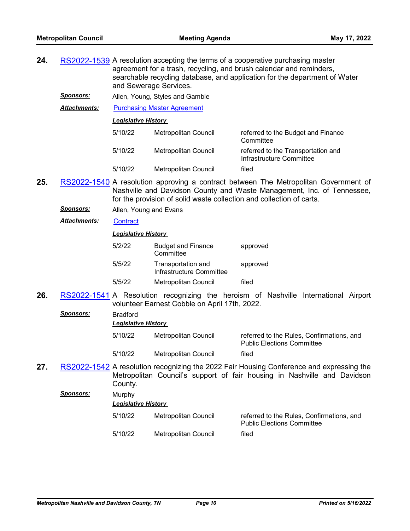- **24.** [RS2022-1539](http://nashville.legistar.com/gateway.aspx?m=l&id=/matter.aspx?key=14441) A resolution accepting the terms of a cooperative purchasing master agreement for a trash, recycling, and brush calendar and reminders, searchable recycling database, and application for the department of Water and Sewerage Services.
	- *Sponsors:* Allen, Young, Styles and Gamble

*Attachments:* [Purchasing Master Agreement](http://nashville.legistar.com/gateway.aspx?M=F&ID=64f6456c-184d-4937-a518-4c80368525c4.pdf)

*Legislative History* 

| 5/10/22 | Metropolitan Council | referred to the Budget and Finance<br>Committee                |
|---------|----------------------|----------------------------------------------------------------|
| 5/10/22 | Metropolitan Council | referred to the Transportation and<br>Infrastructure Committee |
| 5/10/22 | Metropolitan Council | filed                                                          |

- **25.** [RS2022-1540](http://nashville.legistar.com/gateway.aspx?m=l&id=/matter.aspx?key=14435) A resolution approving a contract between The Metropolitan Government of Nashville and Davidson County and Waste Management, Inc. of Tennessee, for the provision of solid waste collection and collection of carts.
	- *Sponsors:* Allen, Young and Evans

*Attachments:* [Contract](http://nashville.legistar.com/gateway.aspx?M=F&ID=ed1c9724-10ba-4499-aa3d-44de78db787c.pdf)

#### *Legislative History*

| 5/2/22 | <b>Budget and Finance</b><br>Committee         | approved |
|--------|------------------------------------------------|----------|
| 5/5/22 | Transportation and<br>Infrastructure Committee | approved |
| 5/5/22 | Metropolitan Council                           | filed    |

**26.** [RS2022-1541](http://nashville.legistar.com/gateway.aspx?m=l&id=/matter.aspx?key=14481) A Resolution recognizing the heroism of Nashville International Airport volunteer Earnest Cobble on April 17th, 2022.

| <b>Sponsors:</b> | <b>Bradford</b><br><b>Legislative History</b> |                      |                                                                                         |  |
|------------------|-----------------------------------------------|----------------------|-----------------------------------------------------------------------------------------|--|
|                  | 5/10/22                                       | Metropolitan Council | referred to the Rules, Confirmations, and<br><b>Public Elections Committee</b>          |  |
|                  | 5/10/22                                       | Metropolitan Council | filed                                                                                   |  |
|                  |                                               |                      | RS2022-1542 A resolution recognizing the 2022 Fair Housing Conference and expressing th |  |

**27.** [RS2022-1542](http://nashville.legistar.com/gateway.aspx?m=l&id=/matter.aspx?key=14460) A resolution recognizing the 2022 Fair Housing Conference and expressing the Metropolitan Council's support of fair housing in Nashville and Davidson County.

*Sponsors:* Murphy

*Legislative History* 

5/10/22 Metropolitan Council referred to the Rules, Confirmations, and Public Elections Committee 5/10/22 Metropolitan Council filed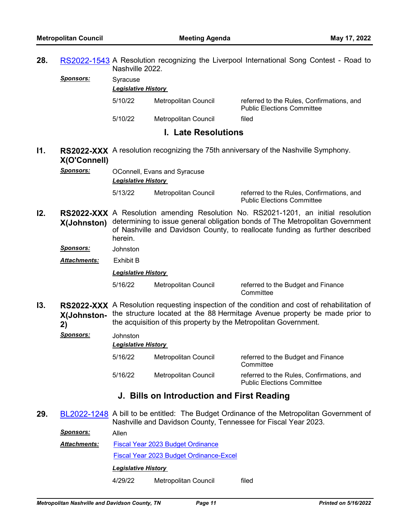**28.** [RS2022-1543](http://nashville.legistar.com/gateway.aspx?m=l&id=/matter.aspx?key=14480) A Resolution recognizing the Liverpool International Song Contest - Road to Nashville 2022.

*Sponsors:* Syracuse

| <b>Legislative History</b> |                      |                                                                                |  |
|----------------------------|----------------------|--------------------------------------------------------------------------------|--|
| 5/10/22                    | Metropolitan Council | referred to the Rules, Confirmations, and<br><b>Public Elections Committee</b> |  |
| 5/10/22                    | Metropolitan Council | filed                                                                          |  |

### **I. Late Resolutions**

## **I1.** RS2022-XXX A resolution recognizing the 75th anniversary of the Nashville Symphony. **X(O'Connell)**

**Sponsors: OConnell, Evans and Syracuse** *Legislative History* 

5/13/22 Metropolitan Council referred to the Rules, Confirmations, and

Public Elections Committee

**I2. RS2022-XXX** A Resolution amending Resolution No. RS2021-1201, an initial resolution **X(Johnston)** determining to issue general obligation bonds of The Metropolitan Government of Nashville and Davidson County, to reallocate funding as further described herein.

*Sponsors:* Johnston

*Attachments:* Exhibit B

*Legislative History* 

5/16/22 Metropolitan Council referred to the Budget and Finance

**Committee** 

**I3.** RS2022-XXX A Resolution requesting inspection of the condition and cost of rehabilitation of **X(Johnston-**the structure located at the 88 Hermitage Avenue property be made prior to **2)** the acquisition of this property by the Metropolitan Government.

*Sponsors:* Johnston

*Legislative History* 

5/16/22 Metropolitan Council referred to the Budget and Finance **Committee** 5/16/22 Metropolitan Council referred to the Rules, Confirmations, and Public Elections Committee

## **J. Bills on Introduction and First Reading**

**29.** [BL2022-1248](http://nashville.legistar.com/gateway.aspx?m=l&id=/matter.aspx?key=14439) A bill to be entitled: The Budget Ordinance of the Metropolitan Government of Nashville and Davidson County, Tennessee for Fiscal Year 2023.

*Sponsors:* Allen

[Fiscal Year 2023 Budget Ordinance](http://nashville.legistar.com/gateway.aspx?M=F&ID=f49fa7f5-601b-4a72-9cc7-f9fb6e80d047.pdf) [Fiscal Year 2023 Budget Ordinance-Excel](http://nashville.legistar.com/gateway.aspx?M=F&ID=299b43d1-0c6f-4ec5-a8a5-3afb8514d390.xlsx) *Attachments: Legislative History* 

4/29/22 Metropolitan Council filed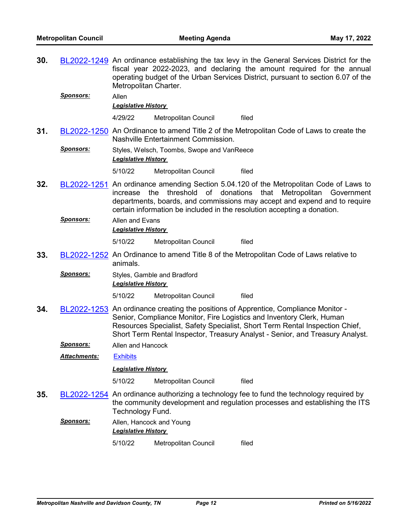- **30.** [BL2022-1249](http://nashville.legistar.com/gateway.aspx?m=l&id=/matter.aspx?key=14438) An ordinance establishing the tax levy in the General Services District for the fiscal year 2022-2023, and declaring the amount required for the annual operating budget of the Urban Services District, pursuant to section 6.07 of the Metropolitan Charter. *Sponsors:* Allen *Legislative History*  4/29/22 Metropolitan Council filed **31.** [BL2022-1250](http://nashville.legistar.com/gateway.aspx?m=l&id=/matter.aspx?key=14483) An Ordinance to amend Title 2 of the Metropolitan Code of Laws to create the Nashville Entertainment Commission. *Sponsors:* Styles, Welsch, Toombs, Swope and VanReece *Legislative History*  5/10/22 Metropolitan Council filed **32.** [BL2022-1251](http://nashville.legistar.com/gateway.aspx?m=l&id=/matter.aspx?key=14484) An ordinance amending Section 5.04.120 of the Metropolitan Code of Laws to increase the threshold of donations that Metropolitan Government departments, boards, and commissions may accept and expend and to require certain information be included in the resolution accepting a donation. *Sponsors:* Allen and Evans *Legislative History*  5/10/22 Metropolitan Council filed **33.** [BL2022-1252](http://nashville.legistar.com/gateway.aspx?m=l&id=/matter.aspx?key=14482) An Ordinance to amend Title 8 of the Metropolitan Code of Laws relative to animals. **Sponsors:** Styles, Gamble and Bradford *Legislative History*  5/10/22 Metropolitan Council filed **34.** [BL2022-1253](http://nashville.legistar.com/gateway.aspx?m=l&id=/matter.aspx?key=14459) An ordinance creating the positions of Apprentice, Compliance Monitor - Senior, Compliance Monitor, Fire Logistics and Inventory Clerk, Human Resources Specialist, Safety Specialist, Short Term Rental Inspection Chief, Short Term Rental Inspector, Treasury Analyst - Senior, and Treasury Analyst.
	- *Sponsors:* Allen and Hancock

*Attachments:* [Exhibits](http://nashville.legistar.com/gateway.aspx?M=F&ID=f4932703-d0f3-46db-bc0e-217bc2bb53b3.pdf)

*Legislative History* 

5/10/22 Metropolitan Council filed

- **35.** [BL2022-1254](http://nashville.legistar.com/gateway.aspx?m=l&id=/matter.aspx?key=14478) An ordinance authorizing a technology fee to fund the technology required by the community development and regulation processes and establishing the ITS Technology Fund.
	- *Sponsors:* Allen, Hancock and Young *Legislative History*  5/10/22 Metropolitan Council filed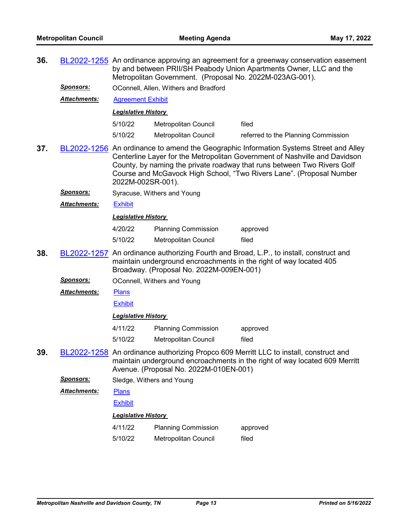| 36.                                                                                                               |                      | BL2022-1255 An ordinance approving an agreement for a greenway conservation easement<br>by and between PRII/SH Peabody Union Apartments Owner, LLC and the<br>Metropolitan Government. (Proposal No. 2022M-023AG-001). |                                                                                                                                                                                                                               |                                                                                                                                                                     |
|-------------------------------------------------------------------------------------------------------------------|----------------------|------------------------------------------------------------------------------------------------------------------------------------------------------------------------------------------------------------------------|-------------------------------------------------------------------------------------------------------------------------------------------------------------------------------------------------------------------------------|---------------------------------------------------------------------------------------------------------------------------------------------------------------------|
|                                                                                                                   | <u>Sponsors:</u>     |                                                                                                                                                                                                                        | OConnell, Allen, Withers and Bradford                                                                                                                                                                                         |                                                                                                                                                                     |
| <u> Attachments:</u><br><b>Agreement Exhibit</b>                                                                  |                      |                                                                                                                                                                                                                        |                                                                                                                                                                                                                               |                                                                                                                                                                     |
|                                                                                                                   |                      | <b>Legislative History</b>                                                                                                                                                                                             |                                                                                                                                                                                                                               |                                                                                                                                                                     |
|                                                                                                                   |                      | 5/10/22                                                                                                                                                                                                                | Metropolitan Council                                                                                                                                                                                                          | filed                                                                                                                                                               |
|                                                                                                                   |                      | 5/10/22                                                                                                                                                                                                                | <b>Metropolitan Council</b>                                                                                                                                                                                                   | referred to the Planning Commission                                                                                                                                 |
| 37.<br>BL2022-1256 An ordinance to amend the Geographic Information Systems Street and Alley<br>2022M-002SR-001). |                      |                                                                                                                                                                                                                        | Centerline Layer for the Metropolitan Government of Nashville and Davidson<br>County, by naming the private roadway that runs between Two Rivers Golf<br>Course and McGavock High School, "Two Rivers Lane". (Proposal Number |                                                                                                                                                                     |
|                                                                                                                   | <b>Sponsors:</b>     |                                                                                                                                                                                                                        | Syracuse, Withers and Young                                                                                                                                                                                                   |                                                                                                                                                                     |
|                                                                                                                   | Attachments:         | <b>Exhibit</b>                                                                                                                                                                                                         |                                                                                                                                                                                                                               |                                                                                                                                                                     |
|                                                                                                                   |                      | <b>Legislative History</b>                                                                                                                                                                                             |                                                                                                                                                                                                                               |                                                                                                                                                                     |
|                                                                                                                   |                      | 4/20/22                                                                                                                                                                                                                | <b>Planning Commission</b>                                                                                                                                                                                                    | approved                                                                                                                                                            |
|                                                                                                                   |                      | 5/10/22                                                                                                                                                                                                                | Metropolitan Council                                                                                                                                                                                                          | filed                                                                                                                                                               |
| 38.                                                                                                               |                      |                                                                                                                                                                                                                        | Broadway. (Proposal No. 2022M-009EN-001)                                                                                                                                                                                      | BL2022-1257 An ordinance authorizing Fourth and Broad, L.P., to install, construct and<br>maintain underground encroachments in the right of way located 405        |
|                                                                                                                   | <u>Sponsors:</u>     |                                                                                                                                                                                                                        | OConnell, Withers and Young                                                                                                                                                                                                   |                                                                                                                                                                     |
|                                                                                                                   | <u> Attachments:</u> | <b>Plans</b>                                                                                                                                                                                                           |                                                                                                                                                                                                                               |                                                                                                                                                                     |
|                                                                                                                   |                      | <b>Exhibit</b>                                                                                                                                                                                                         |                                                                                                                                                                                                                               |                                                                                                                                                                     |
|                                                                                                                   |                      | <b>Legislative History</b>                                                                                                                                                                                             |                                                                                                                                                                                                                               |                                                                                                                                                                     |
|                                                                                                                   |                      | 4/11/22                                                                                                                                                                                                                | <b>Planning Commission</b>                                                                                                                                                                                                    | approved                                                                                                                                                            |
|                                                                                                                   |                      | 5/10/22                                                                                                                                                                                                                | <b>Metropolitan Council</b>                                                                                                                                                                                                   | filed                                                                                                                                                               |
| 39.                                                                                                               |                      |                                                                                                                                                                                                                        | Avenue. (Proposal No. 2022M-010EN-001)                                                                                                                                                                                        | BL2022-1258 An ordinance authorizing Propco 609 Merritt LLC to install, construct and<br>maintain underground encroachments in the right of way located 609 Merritt |
|                                                                                                                   | Sponsors:            |                                                                                                                                                                                                                        | Sledge, Withers and Young                                                                                                                                                                                                     |                                                                                                                                                                     |
|                                                                                                                   | Attachments:         | <b>Plans</b>                                                                                                                                                                                                           |                                                                                                                                                                                                                               |                                                                                                                                                                     |
|                                                                                                                   |                      | <b>Exhibit</b>                                                                                                                                                                                                         |                                                                                                                                                                                                                               |                                                                                                                                                                     |
|                                                                                                                   |                      | <b>Legislative History</b>                                                                                                                                                                                             |                                                                                                                                                                                                                               |                                                                                                                                                                     |
|                                                                                                                   |                      | 4/11/22                                                                                                                                                                                                                | <b>Planning Commission</b>                                                                                                                                                                                                    | approved                                                                                                                                                            |
|                                                                                                                   |                      | 5/10/22                                                                                                                                                                                                                | Metropolitan Council                                                                                                                                                                                                          | filed                                                                                                                                                               |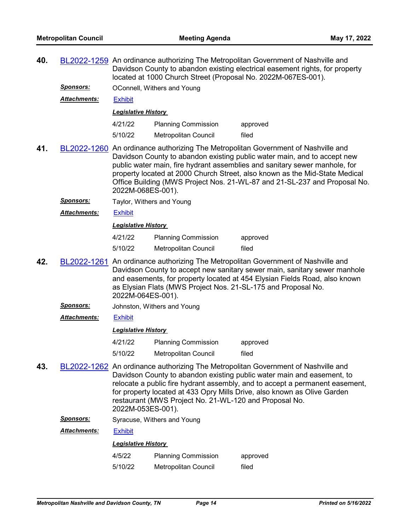| 40. |                                                                                                                                                                                                                                                                                                                                                                                                                              | BL2022-1259 An ordinance authorizing The Metropolitan Government of Nashville and<br>Davidson County to abandon existing electrical easement rights, for property<br>located at 1000 Church Street (Proposal No. 2022M-067ES-001).                                                                                     |                                                        |                                                                                                                                                                                                                                                                                                                         |  |
|-----|------------------------------------------------------------------------------------------------------------------------------------------------------------------------------------------------------------------------------------------------------------------------------------------------------------------------------------------------------------------------------------------------------------------------------|------------------------------------------------------------------------------------------------------------------------------------------------------------------------------------------------------------------------------------------------------------------------------------------------------------------------|--------------------------------------------------------|-------------------------------------------------------------------------------------------------------------------------------------------------------------------------------------------------------------------------------------------------------------------------------------------------------------------------|--|
|     | <u>Sponsors:</u>                                                                                                                                                                                                                                                                                                                                                                                                             | OConnell, Withers and Young                                                                                                                                                                                                                                                                                            |                                                        |                                                                                                                                                                                                                                                                                                                         |  |
|     | <u> Attachments:</u>                                                                                                                                                                                                                                                                                                                                                                                                         | <b>Exhibit</b>                                                                                                                                                                                                                                                                                                         |                                                        |                                                                                                                                                                                                                                                                                                                         |  |
|     |                                                                                                                                                                                                                                                                                                                                                                                                                              | <b>Legislative History</b>                                                                                                                                                                                                                                                                                             |                                                        |                                                                                                                                                                                                                                                                                                                         |  |
|     |                                                                                                                                                                                                                                                                                                                                                                                                                              | 4/21/22                                                                                                                                                                                                                                                                                                                | <b>Planning Commission</b>                             | approved                                                                                                                                                                                                                                                                                                                |  |
|     |                                                                                                                                                                                                                                                                                                                                                                                                                              | 5/10/22                                                                                                                                                                                                                                                                                                                | <b>Metropolitan Council</b>                            | filed                                                                                                                                                                                                                                                                                                                   |  |
| 41. | BL2022-1260 An ordinance authorizing The Metropolitan Government of Nashville and<br>Davidson County to abandon existing public water main, and to accept new<br>public water main, fire hydrant assemblies and sanitary sewer manhole, for<br>property located at 2000 Church Street, also known as the Mid-State Medical<br>Office Building (MWS Project Nos. 21-WL-87 and 21-SL-237 and Proposal No.<br>2022M-068ES-001). |                                                                                                                                                                                                                                                                                                                        |                                                        |                                                                                                                                                                                                                                                                                                                         |  |
|     | <u>Sponsors:</u>                                                                                                                                                                                                                                                                                                                                                                                                             | Taylor, Withers and Young                                                                                                                                                                                                                                                                                              |                                                        |                                                                                                                                                                                                                                                                                                                         |  |
|     | <b>Attachments:</b>                                                                                                                                                                                                                                                                                                                                                                                                          | <b>Exhibit</b>                                                                                                                                                                                                                                                                                                         |                                                        |                                                                                                                                                                                                                                                                                                                         |  |
|     |                                                                                                                                                                                                                                                                                                                                                                                                                              | <b>Legislative History</b>                                                                                                                                                                                                                                                                                             |                                                        |                                                                                                                                                                                                                                                                                                                         |  |
|     |                                                                                                                                                                                                                                                                                                                                                                                                                              | 4/21/22                                                                                                                                                                                                                                                                                                                | <b>Planning Commission</b>                             | approved                                                                                                                                                                                                                                                                                                                |  |
|     |                                                                                                                                                                                                                                                                                                                                                                                                                              | 5/10/22                                                                                                                                                                                                                                                                                                                | Metropolitan Council                                   | filed                                                                                                                                                                                                                                                                                                                   |  |
| 42. | BL2022-1261                                                                                                                                                                                                                                                                                                                                                                                                                  | An ordinance authorizing The Metropolitan Government of Nashville and<br>Davidson County to accept new sanitary sewer main, sanitary sewer manhole<br>and easements, for property located at 454 Elysian Fields Road, also known<br>as Elysian Flats (MWS Project Nos. 21-SL-175 and Proposal No.<br>2022M-064ES-001). |                                                        |                                                                                                                                                                                                                                                                                                                         |  |
|     | <u>Sponsors:</u>                                                                                                                                                                                                                                                                                                                                                                                                             | Johnston, Withers and Young                                                                                                                                                                                                                                                                                            |                                                        |                                                                                                                                                                                                                                                                                                                         |  |
|     | <b>Attachments:</b>                                                                                                                                                                                                                                                                                                                                                                                                          | <b>Exhibit</b>                                                                                                                                                                                                                                                                                                         |                                                        |                                                                                                                                                                                                                                                                                                                         |  |
|     |                                                                                                                                                                                                                                                                                                                                                                                                                              | <b>Legislative History</b>                                                                                                                                                                                                                                                                                             |                                                        |                                                                                                                                                                                                                                                                                                                         |  |
|     |                                                                                                                                                                                                                                                                                                                                                                                                                              | 4/21/22                                                                                                                                                                                                                                                                                                                | <b>Planning Commission</b>                             | approved                                                                                                                                                                                                                                                                                                                |  |
|     |                                                                                                                                                                                                                                                                                                                                                                                                                              | 5/10/22                                                                                                                                                                                                                                                                                                                | Metropolitan Council                                   | filed                                                                                                                                                                                                                                                                                                                   |  |
| 43. |                                                                                                                                                                                                                                                                                                                                                                                                                              | 2022M-053ES-001).                                                                                                                                                                                                                                                                                                      | restaurant (MWS Project No. 21-WL-120 and Proposal No. | BL2022-1262 An ordinance authorizing The Metropolitan Government of Nashville and<br>Davidson County to abandon existing public water main and easement, to<br>relocate a public fire hydrant assembly, and to accept a permanent easement,<br>for property located at 433 Opry Mills Drive, also known as Olive Garden |  |
|     | Sponsors:                                                                                                                                                                                                                                                                                                                                                                                                                    |                                                                                                                                                                                                                                                                                                                        | Syracuse, Withers and Young                            |                                                                                                                                                                                                                                                                                                                         |  |
|     | <b>Attachments:</b>                                                                                                                                                                                                                                                                                                                                                                                                          | <b>Exhibit</b>                                                                                                                                                                                                                                                                                                         |                                                        |                                                                                                                                                                                                                                                                                                                         |  |
|     |                                                                                                                                                                                                                                                                                                                                                                                                                              | <b>Legislative History</b>                                                                                                                                                                                                                                                                                             |                                                        |                                                                                                                                                                                                                                                                                                                         |  |
|     |                                                                                                                                                                                                                                                                                                                                                                                                                              | 4/5/22                                                                                                                                                                                                                                                                                                                 | <b>Planning Commission</b>                             | approved                                                                                                                                                                                                                                                                                                                |  |
|     |                                                                                                                                                                                                                                                                                                                                                                                                                              | 5/10/22                                                                                                                                                                                                                                                                                                                | Metropolitan Council                                   | filed                                                                                                                                                                                                                                                                                                                   |  |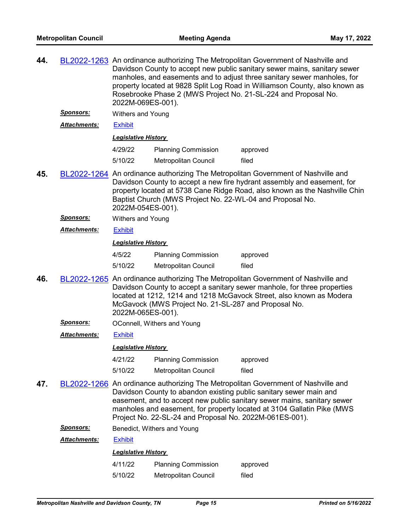| 44. |                     | 2022M-069ES-001).          |                                                           | BL2022-1263 An ordinance authorizing The Metropolitan Government of Nashville and<br>Davidson County to accept new public sanitary sewer mains, sanitary sewer<br>manholes, and easements and to adjust three sanitary sewer manholes, for<br>property located at 9828 Split Log Road in Williamson County, also known as<br>Rosebrooke Phase 2 (MWS Project No. 21-SL-224 and Proposal No. |  |
|-----|---------------------|----------------------------|-----------------------------------------------------------|---------------------------------------------------------------------------------------------------------------------------------------------------------------------------------------------------------------------------------------------------------------------------------------------------------------------------------------------------------------------------------------------|--|
|     | <u>Sponsors:</u>    | Withers and Young          |                                                           |                                                                                                                                                                                                                                                                                                                                                                                             |  |
|     | <b>Attachments:</b> | <b>Exhibit</b>             |                                                           |                                                                                                                                                                                                                                                                                                                                                                                             |  |
|     |                     | <b>Legislative History</b> |                                                           |                                                                                                                                                                                                                                                                                                                                                                                             |  |
|     |                     | 4/29/22                    | <b>Planning Commission</b>                                | approved                                                                                                                                                                                                                                                                                                                                                                                    |  |
|     |                     | 5/10/22                    | Metropolitan Council                                      | filed                                                                                                                                                                                                                                                                                                                                                                                       |  |
| 45. |                     | 2022M-054ES-001).          | Baptist Church (MWS Project No. 22-WL-04 and Proposal No. | BL2022-1264 An ordinance authorizing The Metropolitan Government of Nashville and<br>Davidson County to accept a new fire hydrant assembly and easement, for<br>property located at 5738 Cane Ridge Road, also known as the Nashville Chin                                                                                                                                                  |  |
|     | <u>Sponsors:</u>    | <b>Withers and Young</b>   |                                                           |                                                                                                                                                                                                                                                                                                                                                                                             |  |
|     | <b>Attachments:</b> | <b>Exhibit</b>             |                                                           |                                                                                                                                                                                                                                                                                                                                                                                             |  |
|     |                     | <b>Legislative History</b> |                                                           |                                                                                                                                                                                                                                                                                                                                                                                             |  |
|     |                     | 4/5/22                     | <b>Planning Commission</b>                                | approved                                                                                                                                                                                                                                                                                                                                                                                    |  |
|     |                     | 5/10/22                    | Metropolitan Council                                      | filed                                                                                                                                                                                                                                                                                                                                                                                       |  |
| 46. |                     | 2022M-065ES-001).          | McGavock (MWS Project No. 21-SL-287 and Proposal No.      | BL2022-1265 An ordinance authorizing The Metropolitan Government of Nashville and<br>Davidson County to accept a sanitary sewer manhole, for three properties<br>located at 1212, 1214 and 1218 McGavock Street, also known as Modera                                                                                                                                                       |  |
|     | <u>Sponsors:</u>    |                            | OConnell, Withers and Young                               |                                                                                                                                                                                                                                                                                                                                                                                             |  |
|     | <b>Attachments:</b> | <b>Exhibit</b>             |                                                           |                                                                                                                                                                                                                                                                                                                                                                                             |  |
|     |                     | <b>Legislative History</b> |                                                           |                                                                                                                                                                                                                                                                                                                                                                                             |  |
|     |                     | 4/21/22                    | <b>Planning Commission</b>                                | approved                                                                                                                                                                                                                                                                                                                                                                                    |  |
|     |                     | 5/10/22                    | Metropolitan Council                                      | filed                                                                                                                                                                                                                                                                                                                                                                                       |  |
| 47. |                     |                            | Project No. 22-SL-24 and Proposal No. 2022M-061ES-001).   | BL2022-1266 An ordinance authorizing The Metropolitan Government of Nashville and<br>Davidson County to abandon existing public sanitary sewer main and<br>easement, and to accept new public sanitary sewer mains, sanitary sewer<br>manholes and easement, for property located at 3104 Gallatin Pike (MWS                                                                                |  |
|     | <u>Sponsors:</u>    |                            | Benedict, Withers and Young                               |                                                                                                                                                                                                                                                                                                                                                                                             |  |
|     | <b>Attachments:</b> | <b>Exhibit</b>             |                                                           |                                                                                                                                                                                                                                                                                                                                                                                             |  |
|     |                     | <b>Legislative History</b> |                                                           |                                                                                                                                                                                                                                                                                                                                                                                             |  |
|     |                     | 4/11/22                    | <b>Planning Commission</b>                                | approved                                                                                                                                                                                                                                                                                                                                                                                    |  |

5/10/22 Metropolitan Council filed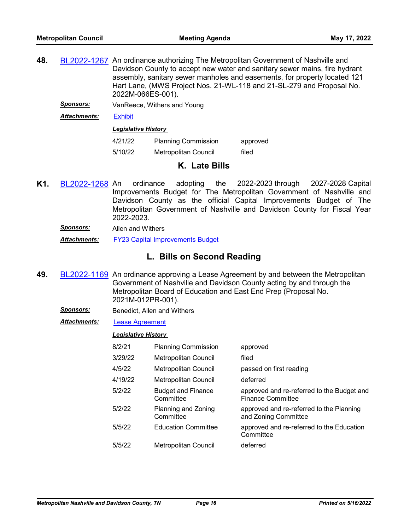- 48. [BL2022-1267](http://nashville.legistar.com/gateway.aspx?m=l&id=/matter.aspx?key=14476) An ordinance authorizing The Metropolitan Government of Nashville and Davidson County to accept new water and sanitary sewer mains, fire hydrant assembly, sanitary sewer manholes and easements, for property located 121 Hart Lane, (MWS Project Nos. 21-WL-118 and 21-SL-279 and Proposal No. 2022M-066ES-001).
	- *Sponsors:* VanReece, Withers and Young

*Attachments:* [Exhibit](http://nashville.legistar.com/gateway.aspx?M=F&ID=c49a7332-0a7f-4d2f-a09d-c211eee5a3a4.pdf)

*Legislative History* 

| 4/21/22 | <b>Planning Commission</b> | approved |
|---------|----------------------------|----------|
| 5/10/22 | Metropolitan Council       | filed    |

## **K. Late Bills**

**K1.** [BL2022-1268](http://nashville.legistar.com/gateway.aspx?m=l&id=/matter.aspx?key=14516) An ordinance adopting the 2022-2023 through 2027-2028 Capital Improvements Budget for The Metropolitan Government of Nashville and Davidson County as the official Capital Improvements Budget of The Metropolitan Government of Nashville and Davidson County for Fiscal Year 2022-2023.

*Sponsors:* Allen and Withers

*Attachments:* [FY23 Capital Improvements Budget](http://nashville.legistar.com/gateway.aspx?M=F&ID=faf8d717-8207-49d9-bf26-87567383abf7.pdf)

# **L. Bills on Second Reading**

**49.** [BL2022-1169](http://nashville.legistar.com/gateway.aspx?m=l&id=/matter.aspx?key=14261) An ordinance approving a Lease Agreement by and between the Metropolitan Government of Nashville and Davidson County acting by and through the Metropolitan Board of Education and East End Prep (Proposal No. 2021M-012PR-001).

**Sponsors:** Benedict, Allen and Withers

*Attachments:* [Lease Agreement](http://nashville.legistar.com/gateway.aspx?M=F&ID=e7deaabc-865e-4072-9df7-486593ad76a6.pdf)

| 8/2/21  | <b>Planning Commission</b>             | approved                                                               |
|---------|----------------------------------------|------------------------------------------------------------------------|
| 3/29/22 | Metropolitan Council                   | filed                                                                  |
| 4/5/22  | Metropolitan Council                   | passed on first reading                                                |
| 4/19/22 | <b>Metropolitan Council</b>            | deferred                                                               |
| 5/2/22  | <b>Budget and Finance</b><br>Committee | approved and re-referred to the Budget and<br><b>Finance Committee</b> |
| 5/2/22  | Planning and Zoning<br>Committee       | approved and re-referred to the Planning<br>and Zoning Committee       |
| 5/5/22  | <b>Education Committee</b>             | approved and re-referred to the Education<br>Committee                 |
| 5/5/22  | Metropolitan Council                   | deferred                                                               |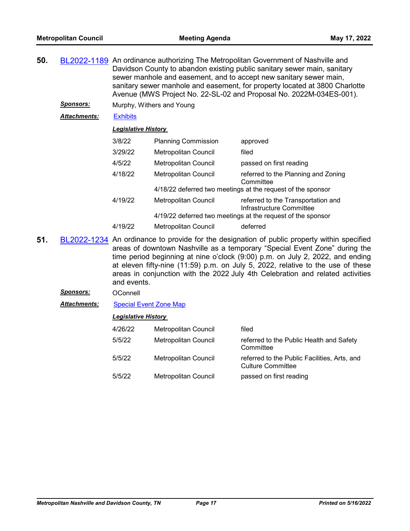- **50.** [BL2022-1189](http://nashville.legistar.com/gateway.aspx?m=l&id=/matter.aspx?key=14282) An ordinance authorizing The Metropolitan Government of Nashville and Davidson County to abandon existing public sanitary sewer main, sanitary sewer manhole and easement, and to accept new sanitary sewer main, sanitary sewer manhole and easement, for property located at 3800 Charlotte Avenue (MWS Project No. 22-SL-02 and Proposal No. 2022M-034ES-001).
	- **Sponsors:** Murphy, Withers and Young
	- *Attachments:* [Exhibits](http://nashville.legistar.com/gateway.aspx?M=F&ID=879d1234-3e04-4c13-9dd7-4faa504e8f63.pdf)

| <b>Legislative History</b> |  |
|----------------------------|--|
|                            |  |

| 3/8/22  | <b>Planning Commission</b>  | approved                                                       |
|---------|-----------------------------|----------------------------------------------------------------|
| 3/29/22 | Metropolitan Council        | filed                                                          |
| 4/5/22  | <b>Metropolitan Council</b> | passed on first reading                                        |
| 4/18/22 | Metropolitan Council        | referred to the Planning and Zoning<br>Committee               |
|         |                             | 4/18/22 deferred two meetings at the request of the sponsor    |
| 4/19/22 | Metropolitan Council        | referred to the Transportation and<br>Infrastructure Committee |
|         |                             | 4/19/22 deferred two meetings at the request of the sponsor    |
| 4/19/22 | Metropolitan Council        | deferred                                                       |

- **51.** [BL2022-1234](http://nashville.legistar.com/gateway.aspx?m=l&id=/matter.aspx?key=14433) An ordinance to provide for the designation of public property within specified areas of downtown Nashville as a temporary "Special Event Zone" during the time period beginning at nine o'clock (9:00) p.m. on July 2, 2022, and ending at eleven fifty-nine (11:59) p.m. on July 5, 2022, relative to the use of these areas in conjunction with the 2022 July 4th Celebration and related activities and events.
	- Sponsors: OConnell

*Attachments:* [Special Event Zone Map](http://nashville.legistar.com/gateway.aspx?M=F&ID=8101b1c5-296b-45bf-86a0-30fea2c4a76d.pdf)

| 4/26/22 | Metropolitan Council | filed                                                                    |
|---------|----------------------|--------------------------------------------------------------------------|
| 5/5/22  | Metropolitan Council | referred to the Public Health and Safety<br>Committee                    |
| 5/5/22  | Metropolitan Council | referred to the Public Facilities, Arts, and<br><b>Culture Committee</b> |
| 5/5/22  | Metropolitan Council | passed on first reading                                                  |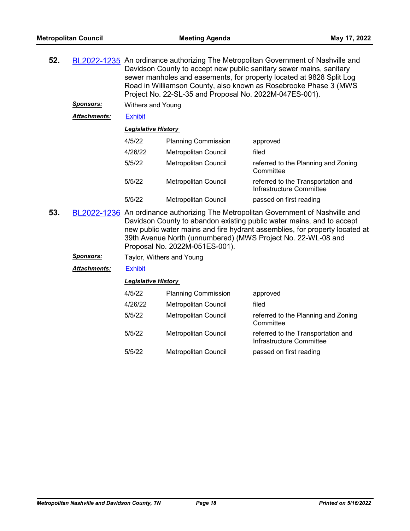| 52. |                  | BL2022-1235 An ordinance authorizing The Metropolitan Government of Nashville and<br>Davidson County to accept new public sanitary sewer mains, sanitary<br>sewer manholes and easements, for property located at 9828 Split Log<br>Road in Williamson County, also known as Rosebrooke Phase 3 (MWS)<br>Project No. 22-SL-35 and Proposal No. 2022M-047ES-001). |                             |                                                                                                                                                                                                                                           |
|-----|------------------|------------------------------------------------------------------------------------------------------------------------------------------------------------------------------------------------------------------------------------------------------------------------------------------------------------------------------------------------------------------|-----------------------------|-------------------------------------------------------------------------------------------------------------------------------------------------------------------------------------------------------------------------------------------|
|     | <b>Sponsors:</b> | <b>Withers and Young</b>                                                                                                                                                                                                                                                                                                                                         |                             |                                                                                                                                                                                                                                           |
|     | Attachments:     | <b>Exhibit</b>                                                                                                                                                                                                                                                                                                                                                   |                             |                                                                                                                                                                                                                                           |
|     |                  | <b>Legislative History</b>                                                                                                                                                                                                                                                                                                                                       |                             |                                                                                                                                                                                                                                           |
|     |                  | 4/5/22                                                                                                                                                                                                                                                                                                                                                           | <b>Planning Commission</b>  | approved                                                                                                                                                                                                                                  |
|     |                  | 4/26/22                                                                                                                                                                                                                                                                                                                                                          | Metropolitan Council        | filed                                                                                                                                                                                                                                     |
|     |                  | 5/5/22                                                                                                                                                                                                                                                                                                                                                           | <b>Metropolitan Council</b> | referred to the Planning and Zoning<br>Committee                                                                                                                                                                                          |
|     |                  | 5/5/22                                                                                                                                                                                                                                                                                                                                                           | Metropolitan Council        | referred to the Transportation and<br>Infrastructure Committee                                                                                                                                                                            |
|     |                  | 5/5/22                                                                                                                                                                                                                                                                                                                                                           | Metropolitan Council        | passed on first reading                                                                                                                                                                                                                   |
| 53. |                  |                                                                                                                                                                                                                                                                                                                                                                  |                             | BL2022-1236 An ordinance authorizing The Metropolitan Government of Nashville and<br>Davidson County to abandon existing public water mains, and to accept<br>new public water mains and fire hydrant assemblies, for property located at |

**Sponsors:** Taylor, Withers and Young

*Attachments:* [Exhibit](http://nashville.legistar.com/gateway.aspx?M=F&ID=de4e3b51-bcfe-4383-9fc3-f1af7ed55e68.pdf)

### *Legislative History*

Proposal No. 2022M-051ES-001).

| 4/5/22  | <b>Planning Commission</b>  | approved                                                       |
|---------|-----------------------------|----------------------------------------------------------------|
| 4/26/22 | Metropolitan Council        | filed                                                          |
| 5/5/22  | <b>Metropolitan Council</b> | referred to the Planning and Zoning<br>Committee               |
| 5/5/22  | <b>Metropolitan Council</b> | referred to the Transportation and<br>Infrastructure Committee |
| 5/5/22  | <b>Metropolitan Council</b> | passed on first reading                                        |

39th Avenue North (unnumbered) (MWS Project No. 22-WL-08 and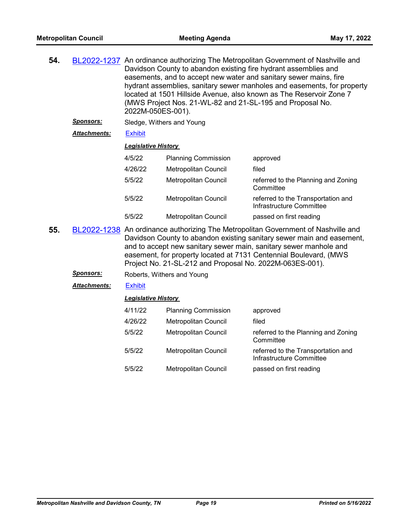| 54. |                     | BL2022-1237 An ordinance authorizing The Metropolitan Government of Nashville and<br>Davidson County to abandon existing fire hydrant assemblies and<br>easements, and to accept new water and sanitary sewer mains, fire<br>hydrant assemblies, sanitary sewer manholes and easements, for property<br>located at 1501 Hillside Avenue, also known as The Reservoir Zone 7<br>(MWS Project Nos. 21-WL-82 and 21-SL-195 and Proposal No.<br>2022M-050ES-001). |                             |                                                                                   |  |  |
|-----|---------------------|---------------------------------------------------------------------------------------------------------------------------------------------------------------------------------------------------------------------------------------------------------------------------------------------------------------------------------------------------------------------------------------------------------------------------------------------------------------|-----------------------------|-----------------------------------------------------------------------------------|--|--|
|     | <u>Sponsors:</u>    |                                                                                                                                                                                                                                                                                                                                                                                                                                                               | Sledge, Withers and Young   |                                                                                   |  |  |
|     | <b>Attachments:</b> | <b>Exhibit</b>                                                                                                                                                                                                                                                                                                                                                                                                                                                |                             |                                                                                   |  |  |
|     |                     | <b>Legislative History</b>                                                                                                                                                                                                                                                                                                                                                                                                                                    |                             |                                                                                   |  |  |
|     |                     | 4/5/22                                                                                                                                                                                                                                                                                                                                                                                                                                                        | <b>Planning Commission</b>  | approved                                                                          |  |  |
|     |                     | 4/26/22                                                                                                                                                                                                                                                                                                                                                                                                                                                       | Metropolitan Council        | filed                                                                             |  |  |
|     |                     | 5/5/22                                                                                                                                                                                                                                                                                                                                                                                                                                                        | <b>Metropolitan Council</b> | referred to the Planning and Zoning<br>Committee                                  |  |  |
|     |                     | 5/5/22                                                                                                                                                                                                                                                                                                                                                                                                                                                        | Metropolitan Council        | referred to the Transportation and<br>Infrastructure Committee                    |  |  |
|     |                     | 5/5/22                                                                                                                                                                                                                                                                                                                                                                                                                                                        | Metropolitan Council        | passed on first reading                                                           |  |  |
| 55. |                     |                                                                                                                                                                                                                                                                                                                                                                                                                                                               |                             | BL2022-1238 An ordinance authorizing The Metropolitan Government of Nashville and |  |  |

**55.** [BL2022-1238](http://nashville.legistar.com/gateway.aspx?m=l&id=/matter.aspx?key=14413) An ordinance authorizing The Metropolitan Government of Nashville and Davidson County to abandon existing sanitary sewer main and easement, and to accept new sanitary sewer main, sanitary sewer manhole and easement, for property located at 7131 Centennial Boulevard, (MWS Project No. 21-SL-212 and Proposal No. 2022M-063ES-001).

*Sponsors:* Roberts, Withers and Young

*Attachments:* [Exhibit](http://nashville.legistar.com/gateway.aspx?M=F&ID=0aa4d6ad-4b01-4365-a956-e8f1dd0dd9b1.pdf)

*Legislative History* 

| 4/11/22 | <b>Planning Commission</b>  | approved                                                       |
|---------|-----------------------------|----------------------------------------------------------------|
| 4/26/22 | <b>Metropolitan Council</b> | filed                                                          |
| 5/5/22  | Metropolitan Council        | referred to the Planning and Zoning<br>Committee               |
| 5/5/22  | <b>Metropolitan Council</b> | referred to the Transportation and<br>Infrastructure Committee |
| 5/5/22  | Metropolitan Council        | passed on first reading                                        |

*Metropolitan Nashville and Davidson County, TN Page 19 Printed on 5/16/2022*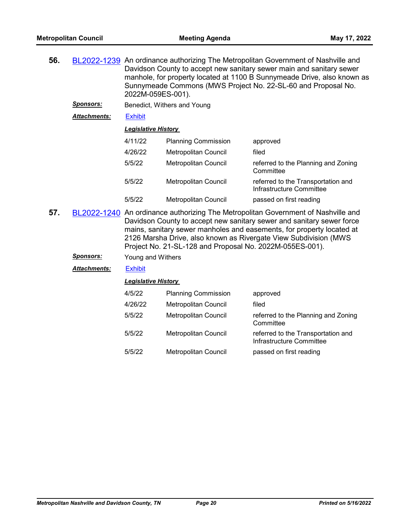| 56. |                  | BL2022-1239 An ordinance authorizing The Metropolitan Government of Nashville and<br>Davidson County to accept new sanitary sewer main and sanitary sewer<br>manhole, for property located at 1100 B Sunnymeade Drive, also known as<br>Sunnymeade Commons (MWS Project No. 22-SL-60 and Proposal No.<br>2022M-059ES-001). |                             |                                                                                   |  |
|-----|------------------|----------------------------------------------------------------------------------------------------------------------------------------------------------------------------------------------------------------------------------------------------------------------------------------------------------------------------|-----------------------------|-----------------------------------------------------------------------------------|--|
|     | <b>Sponsors:</b> |                                                                                                                                                                                                                                                                                                                            | Benedict, Withers and Young |                                                                                   |  |
|     | Attachments:     | <b>Exhibit</b>                                                                                                                                                                                                                                                                                                             |                             |                                                                                   |  |
|     |                  | <b>Legislative History</b>                                                                                                                                                                                                                                                                                                 |                             |                                                                                   |  |
|     |                  | 4/11/22                                                                                                                                                                                                                                                                                                                    | <b>Planning Commission</b>  | approved                                                                          |  |
|     |                  | 4/26/22                                                                                                                                                                                                                                                                                                                    | Metropolitan Council        | filed                                                                             |  |
|     |                  | 5/5/22                                                                                                                                                                                                                                                                                                                     | Metropolitan Council        | referred to the Planning and Zoning<br>Committee                                  |  |
|     |                  | 5/5/22                                                                                                                                                                                                                                                                                                                     | Metropolitan Council        | referred to the Transportation and<br>Infrastructure Committee                    |  |
|     |                  | 5/5/22                                                                                                                                                                                                                                                                                                                     | Metropolitan Council        | passed on first reading                                                           |  |
| 57. |                  |                                                                                                                                                                                                                                                                                                                            |                             | BL2022-1240 An ordinance authorizing The Metropolitan Government of Nashville and |  |

- **57.** [BL2022-1240](http://nashville.legistar.com/gateway.aspx?m=l&id=/matter.aspx?key=14415) An ordinance authorizing The Metropolitan Government of Nashville and Davidson County to accept new sanitary sewer and sanitary sewer force mains, sanitary sewer manholes and easements, for property located at 2126 Marsha Drive, also known as Rivergate View Subdivision (MWS Project No. 21-SL-128 and Proposal No. 2022M-055ES-001).
	- *Sponsors:* Young and Withers

*Attachments:* [Exhibit](http://nashville.legistar.com/gateway.aspx?M=F&ID=96598c89-13b6-4e82-b3e4-67632b4627e2.pdf)

| 4/5/22  | <b>Planning Commission</b>  | approved                                                       |
|---------|-----------------------------|----------------------------------------------------------------|
| 4/26/22 | Metropolitan Council        | filed                                                          |
| 5/5/22  | <b>Metropolitan Council</b> | referred to the Planning and Zoning<br>Committee               |
| 5/5/22  | <b>Metropolitan Council</b> | referred to the Transportation and<br>Infrastructure Committee |
| 5/5/22  | <b>Metropolitan Council</b> | passed on first reading                                        |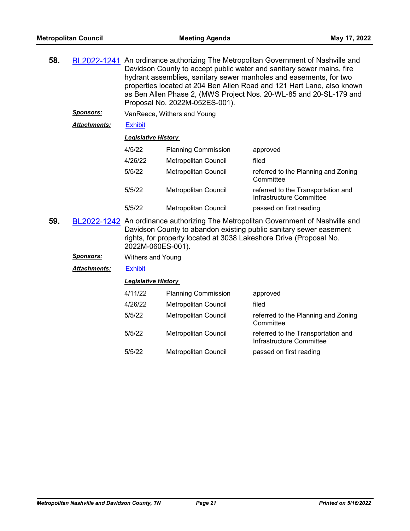| 58. |                     | BL2022-1241 An ordinance authorizing The Metropolitan Government of Nashville and<br>Davidson County to accept public water and sanitary sewer mains, fire<br>hydrant assemblies, sanitary sewer manholes and easements, for two<br>properties located at 204 Ben Allen Road and 121 Hart Lane, also known<br>as Ben Allen Phase 2, (MWS Project Nos. 20-WL-85 and 20-SL-179 and<br>Proposal No. 2022M-052ES-001). |                             |                                                                                                                                                         |
|-----|---------------------|--------------------------------------------------------------------------------------------------------------------------------------------------------------------------------------------------------------------------------------------------------------------------------------------------------------------------------------------------------------------------------------------------------------------|-----------------------------|---------------------------------------------------------------------------------------------------------------------------------------------------------|
|     | <b>Sponsors:</b>    |                                                                                                                                                                                                                                                                                                                                                                                                                    | VanReece, Withers and Young |                                                                                                                                                         |
|     | <b>Attachments:</b> | <b>Exhibit</b>                                                                                                                                                                                                                                                                                                                                                                                                     |                             |                                                                                                                                                         |
|     |                     | <b>Legislative History</b>                                                                                                                                                                                                                                                                                                                                                                                         |                             |                                                                                                                                                         |
|     |                     | 4/5/22                                                                                                                                                                                                                                                                                                                                                                                                             | <b>Planning Commission</b>  | approved                                                                                                                                                |
|     |                     | 4/26/22                                                                                                                                                                                                                                                                                                                                                                                                            | Metropolitan Council        | filed                                                                                                                                                   |
|     |                     | 5/5/22                                                                                                                                                                                                                                                                                                                                                                                                             | Metropolitan Council        | referred to the Planning and Zoning<br>Committee                                                                                                        |
|     |                     | 5/5/22                                                                                                                                                                                                                                                                                                                                                                                                             | <b>Metropolitan Council</b> | referred to the Transportation and<br>Infrastructure Committee                                                                                          |
|     |                     | 5/5/22                                                                                                                                                                                                                                                                                                                                                                                                             | Metropolitan Council        | passed on first reading                                                                                                                                 |
| 59. |                     |                                                                                                                                                                                                                                                                                                                                                                                                                    |                             | BL2022-1242 An ordinance authorizing The Metropolitan Government of Nashville and<br>Davidson County to abandon existing public sanitary sewer easement |

Davidson County to abandon existing public sanitary sewer easement rights, for property located at 3038 Lakeshore Drive (Proposal No. 2022M-060ES-001).

*Sponsors:* Withers and Young

*Attachments:* [Exhibit](http://nashville.legistar.com/gateway.aspx?M=F&ID=6f35b6e1-3318-462c-aacc-d67252fb4673.pdf)

| 4/11/22 | <b>Planning Commission</b>  | approved                                                       |
|---------|-----------------------------|----------------------------------------------------------------|
| 4/26/22 | Metropolitan Council        | filed                                                          |
| 5/5/22  | Metropolitan Council        | referred to the Planning and Zoning<br>Committee               |
| 5/5/22  | <b>Metropolitan Council</b> | referred to the Transportation and<br>Infrastructure Committee |
| 5/5/22  | Metropolitan Council        | passed on first reading                                        |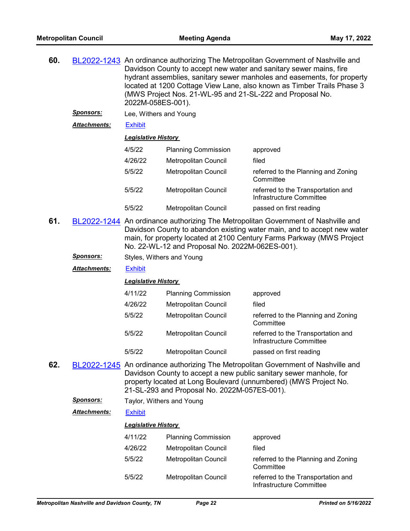| 60. |                      | BL2022-1243 An ordinance authorizing The Metropolitan Government of Nashville and<br>Davidson County to accept new water and sanitary sewer mains, fire<br>hydrant assemblies, sanitary sewer manholes and easements, for property<br>located at 1200 Cottage View Lane, also known as Timber Trails Phase 3<br>(MWS Project Nos. 21-WL-95 and 21-SL-222 and Proposal No.<br>2022M-058ES-001). |                             |                                                                |  |  |
|-----|----------------------|------------------------------------------------------------------------------------------------------------------------------------------------------------------------------------------------------------------------------------------------------------------------------------------------------------------------------------------------------------------------------------------------|-----------------------------|----------------------------------------------------------------|--|--|
|     | <u>Sponsors:</u>     | Lee, Withers and Young                                                                                                                                                                                                                                                                                                                                                                         |                             |                                                                |  |  |
|     | <u>Attachments:</u>  | <b>Exhibit</b>                                                                                                                                                                                                                                                                                                                                                                                 |                             |                                                                |  |  |
|     |                      | <b>Legislative History</b>                                                                                                                                                                                                                                                                                                                                                                     |                             |                                                                |  |  |
|     |                      | 4/5/22                                                                                                                                                                                                                                                                                                                                                                                         | <b>Planning Commission</b>  | approved                                                       |  |  |
|     |                      | 4/26/22                                                                                                                                                                                                                                                                                                                                                                                        | Metropolitan Council        | filed                                                          |  |  |
|     |                      | 5/5/22                                                                                                                                                                                                                                                                                                                                                                                         | Metropolitan Council        | referred to the Planning and Zoning<br>Committee               |  |  |
|     |                      | 5/5/22                                                                                                                                                                                                                                                                                                                                                                                         | Metropolitan Council        | referred to the Transportation and<br>Infrastructure Committee |  |  |
|     |                      | 5/5/22                                                                                                                                                                                                                                                                                                                                                                                         | <b>Metropolitan Council</b> | passed on first reading                                        |  |  |
| 61. |                      | BL2022-1244 An ordinance authorizing The Metropolitan Government of Nashville and<br>Davidson County to abandon existing water main, and to accept new water<br>main, for property located at 2100 Century Farms Parkway (MWS Project<br>No. 22-WL-12 and Proposal No. 2022M-062ES-001).                                                                                                       |                             |                                                                |  |  |
|     | <u>Sponsors:</u>     | Styles, Withers and Young                                                                                                                                                                                                                                                                                                                                                                      |                             |                                                                |  |  |
|     | <u> Attachments:</u> | <b>Exhibit</b>                                                                                                                                                                                                                                                                                                                                                                                 |                             |                                                                |  |  |
|     |                      | <b>Legislative History</b>                                                                                                                                                                                                                                                                                                                                                                     |                             |                                                                |  |  |
|     |                      | 4/11/22                                                                                                                                                                                                                                                                                                                                                                                        | <b>Planning Commission</b>  | approved                                                       |  |  |
|     |                      | 4/26/22                                                                                                                                                                                                                                                                                                                                                                                        | Metropolitan Council        | filed                                                          |  |  |
|     |                      | 5/5/22                                                                                                                                                                                                                                                                                                                                                                                         | Metropolitan Council        | referred to the Planning and Zoning<br>Committee               |  |  |
|     |                      | 5/5/22                                                                                                                                                                                                                                                                                                                                                                                         | Metropolitan Council        | referred to the Transportation and<br>Infrastructure Committee |  |  |
|     |                      | 5/5/22                                                                                                                                                                                                                                                                                                                                                                                         | Metropolitan Council        | passed on first reading                                        |  |  |
| 62. |                      | BL2022-1245 An ordinance authorizing The Metropolitan Government of Nashville and<br>Davidson County to accept a new public sanitary sewer manhole, for<br>property located at Long Boulevard (unnumbered) (MWS Project No.<br>21-SL-293 and Proposal No. 2022M-057ES-001).                                                                                                                    |                             |                                                                |  |  |
|     | <b>Sponsors:</b>     | Taylor, Withers and Young                                                                                                                                                                                                                                                                                                                                                                      |                             |                                                                |  |  |
|     | <u> Attachments:</u> | <b>Exhibit</b>                                                                                                                                                                                                                                                                                                                                                                                 |                             |                                                                |  |  |
|     |                      | <b>Legislative History</b>                                                                                                                                                                                                                                                                                                                                                                     |                             |                                                                |  |  |
|     |                      | 4/11/22                                                                                                                                                                                                                                                                                                                                                                                        | <b>Planning Commission</b>  | approved                                                       |  |  |
|     |                      | 4/26/22                                                                                                                                                                                                                                                                                                                                                                                        | Metropolitan Council        | filed                                                          |  |  |
|     |                      | 5/5/22                                                                                                                                                                                                                                                                                                                                                                                         | Metropolitan Council        | referred to the Planning and Zoning<br>Committee               |  |  |
|     |                      | 5/5/22                                                                                                                                                                                                                                                                                                                                                                                         | Metropolitan Council        | referred to the Transportation and<br>Infrastructure Committee |  |  |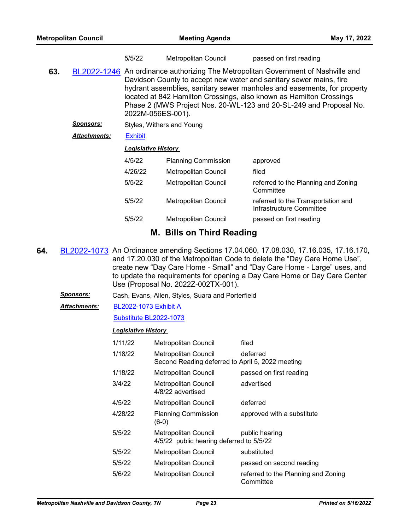|     |                     | 5/5/22                     | Metropolitan Council       | passed on first reading                                                                                                                                                                                                                                                                                                                                                         |
|-----|---------------------|----------------------------|----------------------------|---------------------------------------------------------------------------------------------------------------------------------------------------------------------------------------------------------------------------------------------------------------------------------------------------------------------------------------------------------------------------------|
| 63. |                     | 2022M-056ES-001).          |                            | BL2022-1246 An ordinance authorizing The Metropolitan Government of Nashville and<br>Davidson County to accept new water and sanitary sewer mains, fire<br>hydrant assemblies, sanitary sewer manholes and easements, for property<br>located at 842 Hamilton Crossings, also known as Hamilton Crossings<br>Phase 2 (MWS Project Nos. 20-WL-123 and 20-SL-249 and Proposal No. |
|     | <u>Sponsors:</u>    | Styles, Withers and Young  |                            |                                                                                                                                                                                                                                                                                                                                                                                 |
|     | <b>Attachments:</b> | <b>Exhibit</b>             |                            |                                                                                                                                                                                                                                                                                                                                                                                 |
|     |                     | <b>Legislative History</b> |                            |                                                                                                                                                                                                                                                                                                                                                                                 |
|     |                     | 4/5/22                     | <b>Planning Commission</b> | approved                                                                                                                                                                                                                                                                                                                                                                        |
|     |                     | 4/26/22                    | Metropolitan Council       | filed                                                                                                                                                                                                                                                                                                                                                                           |
|     |                     | 5/5/22                     | Metropolitan Council       | referred to the Planning and Zoning<br>Committee                                                                                                                                                                                                                                                                                                                                |
|     |                     | 5/5/22                     | Metropolitan Council       | referred to the Transportation and<br>Infrastructure Committee                                                                                                                                                                                                                                                                                                                  |
|     |                     | 5/5/22                     | Metropolitan Council       | passed on first reading                                                                                                                                                                                                                                                                                                                                                         |
|     |                     |                            |                            |                                                                                                                                                                                                                                                                                                                                                                                 |

# **M. Bills on Third Reading**

- **64.** [BL2022-1073](http://nashville.legistar.com/gateway.aspx?m=l&id=/matter.aspx?key=14044) An Ordinance amending Sections 17.04.060, 17.08.030, 17.16.035, 17.16.170, and 17.20.030 of the Metropolitan Code to delete the "Day Care Home Use", create new "Day Care Home - Small" and "Day Care Home - Large" uses, and to update the requirements for opening a Day Care Home or Day Care Center Use (Proposal No. 2022Z-002TX-001).
	- *Sponsors:* Cash, Evans, Allen, Styles, Suara and Porterfield
	- [BL2022-1073 Exhibit A](http://nashville.legistar.com/gateway.aspx?M=F&ID=4a35e93c-0751-4a48-9859-4854d279e6ca.docx) *Attachments:*

### [Substitute BL2022-1073](http://nashville.legistar.com/gateway.aspx?M=F&ID=5182e2c5-63ea-40f6-b6af-295901bfc28c.docx)

| 1/11/22 | <b>Metropolitan Council</b>                                                     | filed                                            |
|---------|---------------------------------------------------------------------------------|--------------------------------------------------|
| 1/18/22 | <b>Metropolitan Council</b><br>Second Reading deferred to April 5, 2022 meeting | deferred                                         |
| 1/18/22 | Metropolitan Council                                                            | passed on first reading                          |
| 3/4/22  | Metropolitan Council<br>4/8/22 advertised                                       | advertised                                       |
| 4/5/22  | Metropolitan Council                                                            | deferred                                         |
| 4/28/22 | <b>Planning Commission</b><br>$(6-0)$                                           | approved with a substitute                       |
| 5/5/22  | Metropolitan Council<br>4/5/22 public hearing deferred to 5/5/22                | public hearing                                   |
| 5/5/22  | Metropolitan Council                                                            | substituted                                      |
| 5/5/22  | Metropolitan Council                                                            | passed on second reading                         |
| 5/6/22  | Metropolitan Council                                                            | referred to the Planning and Zoning<br>Committee |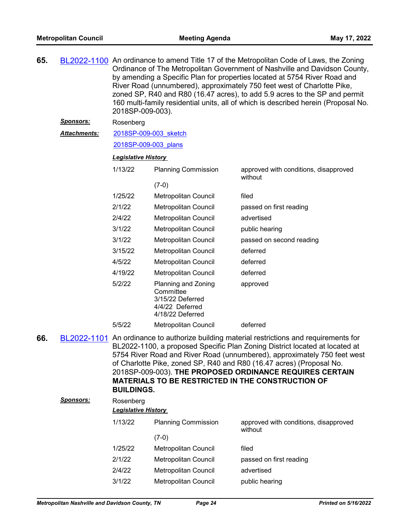| 65. |                     | BL2022-1100 An ordinance to amend Title 17 of the Metropolitan Code of Laws, the Zoning<br>Ordinance of The Metropolitan Government of Nashville and Davidson County,<br>by amending a Specific Plan for properties located at 5754 River Road and<br>River Road (unnumbered), approximately 750 feet west of Charlotte Pike,<br>zoned SP, R40 and R80 (16.47 acres), to add 5.9 acres to the SP and permit<br>160 multi-family residential units, all of which is described herein (Proposal No.<br>2018SP-009-003). |                                                                                             |                                                                                                                                                                                                                                                                                                                                                                                                                                                      |  |  |
|-----|---------------------|-----------------------------------------------------------------------------------------------------------------------------------------------------------------------------------------------------------------------------------------------------------------------------------------------------------------------------------------------------------------------------------------------------------------------------------------------------------------------------------------------------------------------|---------------------------------------------------------------------------------------------|------------------------------------------------------------------------------------------------------------------------------------------------------------------------------------------------------------------------------------------------------------------------------------------------------------------------------------------------------------------------------------------------------------------------------------------------------|--|--|
|     | <u>Sponsors:</u>    | Rosenberg                                                                                                                                                                                                                                                                                                                                                                                                                                                                                                             |                                                                                             |                                                                                                                                                                                                                                                                                                                                                                                                                                                      |  |  |
|     | <u>Attachments:</u> | 2018SP-009-003 sketch                                                                                                                                                                                                                                                                                                                                                                                                                                                                                                 |                                                                                             |                                                                                                                                                                                                                                                                                                                                                                                                                                                      |  |  |
|     |                     | 2018SP-009-003 plans                                                                                                                                                                                                                                                                                                                                                                                                                                                                                                  |                                                                                             |                                                                                                                                                                                                                                                                                                                                                                                                                                                      |  |  |
|     |                     | <b>Legislative History</b>                                                                                                                                                                                                                                                                                                                                                                                                                                                                                            |                                                                                             |                                                                                                                                                                                                                                                                                                                                                                                                                                                      |  |  |
|     |                     | 1/13/22                                                                                                                                                                                                                                                                                                                                                                                                                                                                                                               | <b>Planning Commission</b>                                                                  | approved with conditions, disapproved<br>without                                                                                                                                                                                                                                                                                                                                                                                                     |  |  |
|     |                     |                                                                                                                                                                                                                                                                                                                                                                                                                                                                                                                       | $(7-0)$                                                                                     |                                                                                                                                                                                                                                                                                                                                                                                                                                                      |  |  |
|     |                     | 1/25/22                                                                                                                                                                                                                                                                                                                                                                                                                                                                                                               | Metropolitan Council                                                                        | filed                                                                                                                                                                                                                                                                                                                                                                                                                                                |  |  |
|     |                     | 2/1/22                                                                                                                                                                                                                                                                                                                                                                                                                                                                                                                | Metropolitan Council                                                                        | passed on first reading                                                                                                                                                                                                                                                                                                                                                                                                                              |  |  |
|     |                     | 2/4/22                                                                                                                                                                                                                                                                                                                                                                                                                                                                                                                | Metropolitan Council                                                                        | advertised                                                                                                                                                                                                                                                                                                                                                                                                                                           |  |  |
|     |                     | 3/1/22                                                                                                                                                                                                                                                                                                                                                                                                                                                                                                                | Metropolitan Council                                                                        | public hearing                                                                                                                                                                                                                                                                                                                                                                                                                                       |  |  |
|     |                     | 3/1/22                                                                                                                                                                                                                                                                                                                                                                                                                                                                                                                | Metropolitan Council                                                                        | passed on second reading                                                                                                                                                                                                                                                                                                                                                                                                                             |  |  |
|     |                     | 3/15/22                                                                                                                                                                                                                                                                                                                                                                                                                                                                                                               | Metropolitan Council                                                                        | deferred                                                                                                                                                                                                                                                                                                                                                                                                                                             |  |  |
|     |                     | 4/5/22                                                                                                                                                                                                                                                                                                                                                                                                                                                                                                                | Metropolitan Council                                                                        | deferred                                                                                                                                                                                                                                                                                                                                                                                                                                             |  |  |
|     |                     | 4/19/22                                                                                                                                                                                                                                                                                                                                                                                                                                                                                                               | Metropolitan Council                                                                        | deferred                                                                                                                                                                                                                                                                                                                                                                                                                                             |  |  |
|     |                     | 5/2/22                                                                                                                                                                                                                                                                                                                                                                                                                                                                                                                | Planning and Zoning<br>Committee<br>3/15/22 Deferred<br>4/4/22 Deferred<br>4/18/22 Deferred | approved                                                                                                                                                                                                                                                                                                                                                                                                                                             |  |  |
|     |                     | 5/5/22                                                                                                                                                                                                                                                                                                                                                                                                                                                                                                                | Metropolitan Council                                                                        | deferred                                                                                                                                                                                                                                                                                                                                                                                                                                             |  |  |
| 66. |                     | <b>BUILDINGS.</b>                                                                                                                                                                                                                                                                                                                                                                                                                                                                                                     |                                                                                             | BL2022-1101 An ordinance to authorize building material restrictions and requirements for<br>BL2022-1100, a proposed Specific Plan Zoning District located at located at<br>5754 River Road and River Road (unnumbered), approximately 750 feet west<br>of Charlotte Pike, zoned SP, R40 and R80 (16.47 acres) (Proposal No.<br>2018SP-009-003). THE PROPOSED ORDINANCE REQUIRES CERTAIN<br><b>MATERIALS TO BE RESTRICTED IN THE CONSTRUCTION OF</b> |  |  |
|     | <b>Sponsors:</b>    | Rosenberg                                                                                                                                                                                                                                                                                                                                                                                                                                                                                                             |                                                                                             |                                                                                                                                                                                                                                                                                                                                                                                                                                                      |  |  |
|     |                     | <b>Legislative History</b>                                                                                                                                                                                                                                                                                                                                                                                                                                                                                            |                                                                                             |                                                                                                                                                                                                                                                                                                                                                                                                                                                      |  |  |
|     |                     | 1/13/22                                                                                                                                                                                                                                                                                                                                                                                                                                                                                                               | <b>Planning Commission</b><br>$(7-0)$                                                       | approved with conditions, disapproved<br>without                                                                                                                                                                                                                                                                                                                                                                                                     |  |  |
|     |                     | 1/25/22                                                                                                                                                                                                                                                                                                                                                                                                                                                                                                               | Metropolitan Council                                                                        | filed                                                                                                                                                                                                                                                                                                                                                                                                                                                |  |  |
|     |                     | 2/1/22                                                                                                                                                                                                                                                                                                                                                                                                                                                                                                                | Metropolitan Council                                                                        | passed on first reading                                                                                                                                                                                                                                                                                                                                                                                                                              |  |  |
|     |                     | 2/4/22                                                                                                                                                                                                                                                                                                                                                                                                                                                                                                                | Metropolitan Council                                                                        | advertised                                                                                                                                                                                                                                                                                                                                                                                                                                           |  |  |
|     |                     | 3/1/22                                                                                                                                                                                                                                                                                                                                                                                                                                                                                                                | Metropolitan Council                                                                        | public hearing                                                                                                                                                                                                                                                                                                                                                                                                                                       |  |  |
|     |                     |                                                                                                                                                                                                                                                                                                                                                                                                                                                                                                                       |                                                                                             |                                                                                                                                                                                                                                                                                                                                                                                                                                                      |  |  |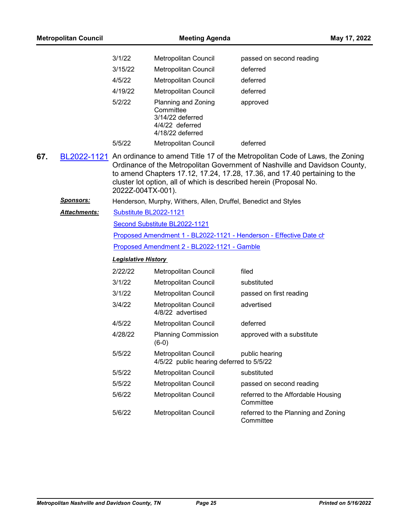| <b>Metropolitan Council</b> |                  | <b>Meeting Agenda</b>      |                                                                                             |                                                                                                                                                                                                                                        | May 17, 2022 |
|-----------------------------|------------------|----------------------------|---------------------------------------------------------------------------------------------|----------------------------------------------------------------------------------------------------------------------------------------------------------------------------------------------------------------------------------------|--------------|
|                             |                  | 3/1/22                     | Metropolitan Council                                                                        | passed on second reading                                                                                                                                                                                                               |              |
|                             |                  | 3/15/22                    | <b>Metropolitan Council</b>                                                                 | deferred                                                                                                                                                                                                                               |              |
|                             |                  | 4/5/22                     | <b>Metropolitan Council</b>                                                                 | deferred                                                                                                                                                                                                                               |              |
|                             |                  | 4/19/22                    | Metropolitan Council                                                                        | deferred                                                                                                                                                                                                                               |              |
|                             |                  | 5/2/22                     | Planning and Zoning<br>Committee<br>3/14/22 deferred<br>4/4/22 deferred<br>4/18/22 deferred | approved                                                                                                                                                                                                                               |              |
|                             |                  | 5/5/22                     | Metropolitan Council                                                                        | deferred                                                                                                                                                                                                                               |              |
| 67.                         | BL2022-1121      | 2022Z-004TX-001).          | cluster lot option, all of which is described herein (Proposal No.                          | An ordinance to amend Title 17 of the Metropolitan Code of Laws, the Zoning<br>Ordinance of the Metropolitan Government of Nashville and Davidson County,<br>to amend Chapters 17.12, 17.24, 17.28, 17.36, and 17.40 pertaining to the |              |
|                             | <u>Sponsors:</u> |                            | Henderson, Murphy, Withers, Allen, Druffel, Benedict and Styles                             |                                                                                                                                                                                                                                        |              |
|                             | Attachments:     | Substitute BL2022-1121     |                                                                                             |                                                                                                                                                                                                                                        |              |
|                             |                  |                            | Second Substitute BL2022-1121                                                               |                                                                                                                                                                                                                                        |              |
|                             |                  |                            |                                                                                             | Proposed Amendment 1 - BL2022-1121 - Henderson - Effective Date ch                                                                                                                                                                     |              |
|                             |                  |                            | Proposed Amendment 2 - BL2022-1121 - Gamble                                                 |                                                                                                                                                                                                                                        |              |
|                             |                  | <b>Legislative History</b> |                                                                                             |                                                                                                                                                                                                                                        |              |
|                             |                  | 2/22/22                    | Metropolitan Council                                                                        | filed                                                                                                                                                                                                                                  |              |
|                             |                  | 3/1/22                     | Metropolitan Council                                                                        | substituted                                                                                                                                                                                                                            |              |
|                             |                  | 3/1/22                     | Metropolitan Council                                                                        | passed on first reading                                                                                                                                                                                                                |              |
|                             |                  | 3/4/22                     | <b>Metropolitan Council</b><br>4/8/22 advertised                                            | advertised                                                                                                                                                                                                                             |              |
|                             |                  | 4/5/22                     | <b>Metropolitan Council</b>                                                                 | deferred                                                                                                                                                                                                                               |              |
|                             |                  | 4/28/22                    | <b>Planning Commission</b><br>$(6-0)$                                                       | approved with a substitute                                                                                                                                                                                                             |              |
|                             |                  | 5/5/22                     | <b>Metropolitan Council</b><br>4/5/22 public hearing deferred to 5/5/22                     | public hearing                                                                                                                                                                                                                         |              |
|                             |                  | 5/5/22                     | Metropolitan Council                                                                        | substituted                                                                                                                                                                                                                            |              |
|                             |                  | 5/5/22                     | Metropolitan Council                                                                        | passed on second reading                                                                                                                                                                                                               |              |
|                             |                  | 5/6/22                     | Metropolitan Council                                                                        | referred to the Affordable Housing<br>Committee                                                                                                                                                                                        |              |
|                             |                  | 5/6/22                     | Metropolitan Council                                                                        | referred to the Planning and Zoning<br>Committee                                                                                                                                                                                       |              |
|                             |                  |                            |                                                                                             |                                                                                                                                                                                                                                        |              |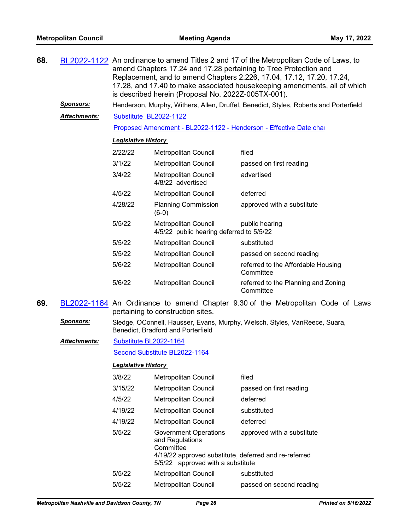| 68. |                     | BL2022-1122 An ordinance to amend Titles 2 and 17 of the Metropolitan Code of Laws, to<br>amend Chapters 17.24 and 17.28 pertaining to Tree Protection and<br>Replacement, and to amend Chapters 2.226, 17.04, 17.12, 17.20, 17.24,<br>17.28, and 17.40 to make associated housekeeping amendments, all of which<br>is described herein (Proposal No. 2022Z-005TX-001). |                                                                                       |                                                                                 |  |
|-----|---------------------|-------------------------------------------------------------------------------------------------------------------------------------------------------------------------------------------------------------------------------------------------------------------------------------------------------------------------------------------------------------------------|---------------------------------------------------------------------------------------|---------------------------------------------------------------------------------|--|
|     | <u>Sponsors:</u>    |                                                                                                                                                                                                                                                                                                                                                                         | Henderson, Murphy, Withers, Allen, Druffel, Benedict, Styles, Roberts and Porterfield |                                                                                 |  |
|     | Attachments:        | Substitute BL2022-1122                                                                                                                                                                                                                                                                                                                                                  |                                                                                       |                                                                                 |  |
|     |                     |                                                                                                                                                                                                                                                                                                                                                                         | Proposed Amendment - BL2022-1122 - Henderson - Effective Date char                    |                                                                                 |  |
|     |                     |                                                                                                                                                                                                                                                                                                                                                                         | <b>Legislative History</b>                                                            |                                                                                 |  |
|     |                     | 2/22/22                                                                                                                                                                                                                                                                                                                                                                 | Metropolitan Council                                                                  | filed                                                                           |  |
|     |                     | 3/1/22                                                                                                                                                                                                                                                                                                                                                                  | Metropolitan Council                                                                  | passed on first reading                                                         |  |
|     |                     | 3/4/22                                                                                                                                                                                                                                                                                                                                                                  | Metropolitan Council<br>4/8/22 advertised                                             | advertised                                                                      |  |
|     |                     | 4/5/22                                                                                                                                                                                                                                                                                                                                                                  | <b>Metropolitan Council</b>                                                           | deferred                                                                        |  |
|     |                     | 4/28/22                                                                                                                                                                                                                                                                                                                                                                 | <b>Planning Commission</b><br>$(6-0)$                                                 | approved with a substitute                                                      |  |
|     |                     | 5/5/22                                                                                                                                                                                                                                                                                                                                                                  | <b>Metropolitan Council</b><br>4/5/22 public hearing deferred to 5/5/22               | public hearing                                                                  |  |
|     |                     | 5/5/22                                                                                                                                                                                                                                                                                                                                                                  | Metropolitan Council                                                                  | substituted                                                                     |  |
|     |                     | 5/5/22                                                                                                                                                                                                                                                                                                                                                                  | Metropolitan Council                                                                  | passed on second reading                                                        |  |
|     |                     | 5/6/22                                                                                                                                                                                                                                                                                                                                                                  | Metropolitan Council                                                                  | referred to the Affordable Housing<br>Committee                                 |  |
|     |                     | 5/6/22                                                                                                                                                                                                                                                                                                                                                                  | Metropolitan Council                                                                  | referred to the Planning and Zoning<br>Committee                                |  |
| 69. |                     |                                                                                                                                                                                                                                                                                                                                                                         | pertaining to construction sites.                                                     | BL2022-1164 An Ordinance to amend Chapter 9.30 of the Metropolitan Code of Laws |  |
|     | <u>Sponsors:</u>    |                                                                                                                                                                                                                                                                                                                                                                         | Benedict, Bradford and Porterfield                                                    | Sledge, OConnell, Hausser, Evans, Murphy, Welsch, Styles, VanReece, Suara,      |  |
|     | <b>Attachments:</b> | Substitute BL2022-1164                                                                                                                                                                                                                                                                                                                                                  |                                                                                       |                                                                                 |  |
|     |                     |                                                                                                                                                                                                                                                                                                                                                                         | Second Substitute BL2022-1164                                                         |                                                                                 |  |
|     |                     | <b>Legislative History</b>                                                                                                                                                                                                                                                                                                                                              |                                                                                       |                                                                                 |  |
|     |                     | 3/8/22                                                                                                                                                                                                                                                                                                                                                                  | Metropolitan Council                                                                  | filed                                                                           |  |
|     |                     | 3/15/22                                                                                                                                                                                                                                                                                                                                                                 | Metropolitan Council                                                                  | passed on first reading                                                         |  |
|     |                     | 4/5/22                                                                                                                                                                                                                                                                                                                                                                  | Metropolitan Council                                                                  | deferred                                                                        |  |
|     |                     |                                                                                                                                                                                                                                                                                                                                                                         |                                                                                       |                                                                                 |  |

- 4/19/22 Metropolitan Council substituted 4/19/22 Metropolitan Council deferred
	- 5/5/22 Government Operations and Regulations **Committee** approved with a substitute

4/19/22 approved substitute, deferred and re-referred 5/5/22 approved with a substitute

5/5/22 Metropolitan Council substituted 5/5/22 Metropolitan Council passed on second reading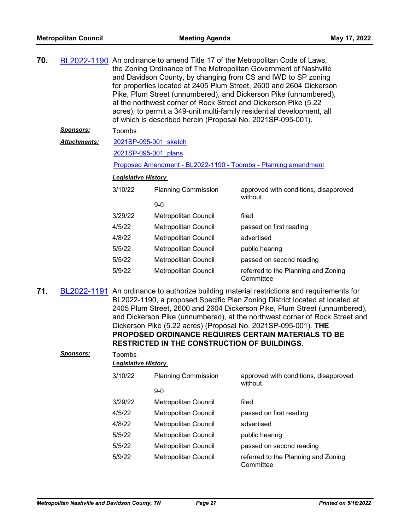| 70. |                     | BL2022-1190 An ordinance to amend Title 17 of the Metropolitan Code of Laws,<br>the Zoning Ordinance of The Metropolitan Government of Nashville<br>and Davidson County, by changing from CS and IWD to SP zoning<br>for properties located at 2405 Plum Street, 2600 and 2604 Dickerson<br>Pike, Plum Street (unnumbered), and Dickerson Pike (unnumbered),<br>at the northwest corner of Rock Street and Dickerson Pike (5.22<br>acres), to permit a 349-unit multi-family residential development, all<br>of which is described herein (Proposal No. 2021SP-095-001). |                             |                                                  |  |  |
|-----|---------------------|--------------------------------------------------------------------------------------------------------------------------------------------------------------------------------------------------------------------------------------------------------------------------------------------------------------------------------------------------------------------------------------------------------------------------------------------------------------------------------------------------------------------------------------------------------------------------|-----------------------------|--------------------------------------------------|--|--|
|     | <u>Sponsors:</u>    | Toombs                                                                                                                                                                                                                                                                                                                                                                                                                                                                                                                                                                   |                             |                                                  |  |  |
|     | <b>Attachments:</b> | 2021SP-095-001 sketch                                                                                                                                                                                                                                                                                                                                                                                                                                                                                                                                                    |                             |                                                  |  |  |
|     |                     | 2021SP-095-001 plans                                                                                                                                                                                                                                                                                                                                                                                                                                                                                                                                                     |                             |                                                  |  |  |
|     |                     | Proposed Amendment - BL2022-1190 - Toombs - Planning amendment                                                                                                                                                                                                                                                                                                                                                                                                                                                                                                           |                             |                                                  |  |  |
|     |                     | <b>Legislative History</b>                                                                                                                                                                                                                                                                                                                                                                                                                                                                                                                                               |                             |                                                  |  |  |
|     |                     | 3/10/22                                                                                                                                                                                                                                                                                                                                                                                                                                                                                                                                                                  | <b>Planning Commission</b>  | approved with conditions, disapproved<br>without |  |  |
|     |                     |                                                                                                                                                                                                                                                                                                                                                                                                                                                                                                                                                                          | $9-0$                       |                                                  |  |  |
|     |                     | 3/29/22                                                                                                                                                                                                                                                                                                                                                                                                                                                                                                                                                                  | Metropolitan Council        | filed                                            |  |  |
|     |                     | 4/5/22                                                                                                                                                                                                                                                                                                                                                                                                                                                                                                                                                                   | <b>Metropolitan Council</b> | passed on first reading                          |  |  |
|     |                     | 4/8/22                                                                                                                                                                                                                                                                                                                                                                                                                                                                                                                                                                   | Metropolitan Council        | advertised                                       |  |  |
|     |                     | 5/5/22                                                                                                                                                                                                                                                                                                                                                                                                                                                                                                                                                                   | Metropolitan Council        | public hearing                                   |  |  |
|     |                     | 5/5/22                                                                                                                                                                                                                                                                                                                                                                                                                                                                                                                                                                   | Metropolitan Council        | passed on second reading                         |  |  |
|     |                     | 5/9/22                                                                                                                                                                                                                                                                                                                                                                                                                                                                                                                                                                   | <b>Metropolitan Council</b> | referred to the Planning and Zoning<br>Committee |  |  |

**71.** [BL2022-1191](http://nashville.legistar.com/gateway.aspx?m=l&id=/matter.aspx?key=14304) An ordinance to authorize building material restrictions and requirements for BL2022-1190, a proposed Specific Plan Zoning District located at located at 2405 Plum Street, 2600 and 2604 Dickerson Pike, Plum Street (unnumbered), and Dickerson Pike (unnumbered), at the northwest corner of Rock Street and Dickerson Pike (5.22 acres) (Proposal No. 2021SP-095-001). **THE PROPOSED ORDINANCE REQUIRES CERTAIN MATERIALS TO BE RESTRICTED IN THE CONSTRUCTION OF BUILDINGS.**

# *Sponsors:* Toombs

| 3/10/22 | <b>Planning Commission</b> | approved with conditions, disapproved<br>without |
|---------|----------------------------|--------------------------------------------------|
|         | $9-0$                      |                                                  |
| 3/29/22 | Metropolitan Council       | filed                                            |
| 4/5/22  | Metropolitan Council       | passed on first reading                          |
| 4/8/22  | Metropolitan Council       | advertised                                       |
| 5/5/22  | Metropolitan Council       | public hearing                                   |
| 5/5/22  | Metropolitan Council       | passed on second reading                         |
| 5/9/22  | Metropolitan Council       | referred to the Planning and Zoning<br>Committee |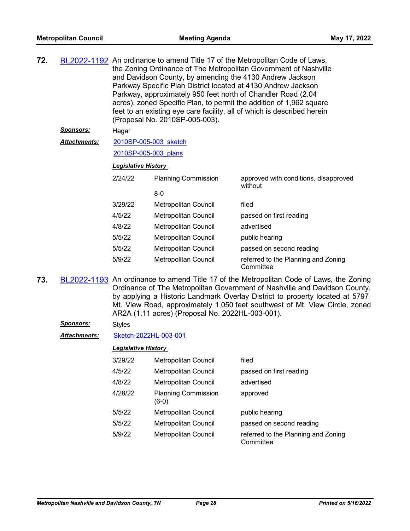| 72. |                     | BL2022-1192 An ordinance to amend Title 17 of the Metropolitan Code of Laws,<br>the Zoning Ordinance of The Metropolitan Government of Nashville<br>and Davidson County, by amending the 4130 Andrew Jackson<br>Parkway Specific Plan District located at 4130 Andrew Jackson<br>Parkway, approximately 950 feet north of Chandler Road (2.04)<br>acres), zoned Specific Plan, to permit the addition of 1,962 square<br>feet to an existing eye care facility, all of which is described herein<br>(Proposal No. 2010SP-005-003). |                            |                                                  |  |
|-----|---------------------|------------------------------------------------------------------------------------------------------------------------------------------------------------------------------------------------------------------------------------------------------------------------------------------------------------------------------------------------------------------------------------------------------------------------------------------------------------------------------------------------------------------------------------|----------------------------|--------------------------------------------------|--|
|     | <b>Sponsors:</b>    | Hagar                                                                                                                                                                                                                                                                                                                                                                                                                                                                                                                              |                            |                                                  |  |
|     | <b>Attachments:</b> | 2010SP-005-003 sketch                                                                                                                                                                                                                                                                                                                                                                                                                                                                                                              |                            |                                                  |  |
|     |                     | 2010SP-005-003 plans                                                                                                                                                                                                                                                                                                                                                                                                                                                                                                               |                            |                                                  |  |
|     |                     | <b>Legislative History</b>                                                                                                                                                                                                                                                                                                                                                                                                                                                                                                         |                            |                                                  |  |
|     |                     | 2/24/22                                                                                                                                                                                                                                                                                                                                                                                                                                                                                                                            | <b>Planning Commission</b> | approved with conditions, disapproved<br>without |  |
|     |                     |                                                                                                                                                                                                                                                                                                                                                                                                                                                                                                                                    |                            |                                                  |  |

|         | $8-0$                       |                                                  |
|---------|-----------------------------|--------------------------------------------------|
| 3/29/22 | <b>Metropolitan Council</b> | filed                                            |
| 4/5/22  | <b>Metropolitan Council</b> | passed on first reading                          |
| 4/8/22  | <b>Metropolitan Council</b> | advertised                                       |
| 5/5/22  | <b>Metropolitan Council</b> | public hearing                                   |
| 5/5/22  | <b>Metropolitan Council</b> | passed on second reading                         |
| 5/9/22  | <b>Metropolitan Council</b> | referred to the Planning and Zoning<br>Committee |

**73.** [BL2022-1193](http://nashville.legistar.com/gateway.aspx?m=l&id=/matter.aspx?key=14339) An ordinance to amend Title 17 of the Metropolitan Code of Laws, the Zoning Ordinance of The Metropolitan Government of Nashville and Davidson County, by applying a Historic Landmark Overlay District to property located at 5797 Mt. View Road, approximately 1,050 feet southwest of Mt. View Circle, zoned AR2A (1.11 acres) (Proposal No. 2022HL-003-001).

### *Sponsors:* Styles

### *Attachments:* [Sketch-2022HL-003-001](http://nashville.legistar.com/gateway.aspx?M=F&ID=ddfa4956-5329-41d7-ae35-8bada2063ad9.docx)

| 3/29/22 | <b>Metropolitan Council</b>           | filed                                            |
|---------|---------------------------------------|--------------------------------------------------|
| 4/5/22  | Metropolitan Council                  | passed on first reading                          |
| 4/8/22  | Metropolitan Council                  | advertised                                       |
| 4/28/22 | <b>Planning Commission</b><br>$(6-0)$ | approved                                         |
| 5/5/22  | Metropolitan Council                  | public hearing                                   |
| 5/5/22  | Metropolitan Council                  | passed on second reading                         |
| 5/9/22  | <b>Metropolitan Council</b>           | referred to the Planning and Zoning<br>Committee |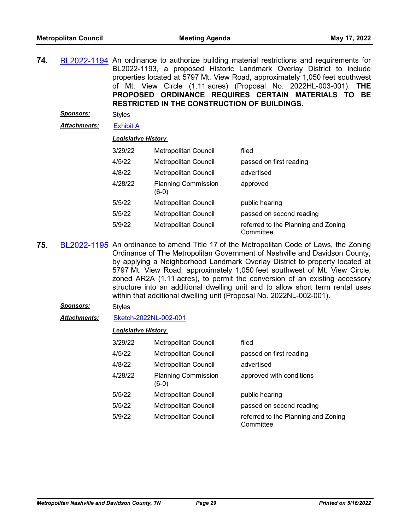**74.** [BL2022-1194](http://nashville.legistar.com/gateway.aspx?m=l&id=/matter.aspx?key=14340) An ordinance to authorize building material restrictions and requirements for BL2022-1193, a proposed Historic Landmark Overlay District to include properties located at 5797 Mt. View Road, approximately 1,050 feet southwest of Mt. View Circle (1.11 acres) (Proposal No. 2022HL-003-001). **THE PROPOSED ORDINANCE REQUIRES CERTAIN MATERIALS TO BE RESTRICTED IN THE CONSTRUCTION OF BUILDINGS.**

*Sponsors:* Styles

*Attachments:* [Exhibit A](http://nashville.legistar.com/gateway.aspx?M=F&ID=b3dadaad-a4ec-452e-afa2-6e2e1415124e.pdf)

#### *Legislative History*

| 3/29/22 | <b>Metropolitan Council</b>         | filed                                            |
|---------|-------------------------------------|--------------------------------------------------|
| 4/5/22  | Metropolitan Council                | passed on first reading                          |
| 4/8/22  | Metropolitan Council                | advertised                                       |
| 4/28/22 | <b>Planning Commission</b><br>(6-0) | approved                                         |
| 5/5/22  | <b>Metropolitan Council</b>         | public hearing                                   |
| 5/5/22  | <b>Metropolitan Council</b>         | passed on second reading                         |
| 5/9/22  | Metropolitan Council                | referred to the Planning and Zoning<br>Committee |

- **75.** [BL2022-1195](http://nashville.legistar.com/gateway.aspx?m=l&id=/matter.aspx?key=14338) An ordinance to amend Title 17 of the Metropolitan Code of Laws, the Zoning Ordinance of The Metropolitan Government of Nashville and Davidson County, by applying a Neighborhood Landmark Overlay District to property located at 5797 Mt. View Road, approximately 1,050 feet southwest of Mt. View Circle, zoned AR2A (1.11 acres), to permit the conversion of an existing accessory structure into an additional dwelling unit and to allow short term rental uses within that additional dwelling unit (Proposal No. 2022NL-002-001).
	- *Sponsors:* Styles

#### *Attachments:* [Sketch-2022NL-002-001](http://nashville.legistar.com/gateway.aspx?M=F&ID=7b10246c-1e67-4d7f-b0c7-8e3979eb4423.docx)

| 3/29/22 | Metropolitan Council                | filed                                            |
|---------|-------------------------------------|--------------------------------------------------|
| 4/5/22  | Metropolitan Council                | passed on first reading                          |
| 4/8/22  | Metropolitan Council                | advertised                                       |
| 4/28/22 | <b>Planning Commission</b><br>(6-0) | approved with conditions                         |
| 5/5/22  | Metropolitan Council                | public hearing                                   |
| 5/5/22  | Metropolitan Council                | passed on second reading                         |
| 5/9/22  | Metropolitan Council                | referred to the Planning and Zoning<br>Committee |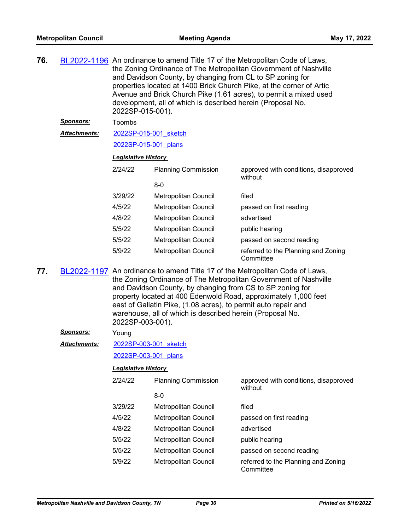| 76.                                                                                                                                                                                                                                                                                                                                                                                                                                        |                     | BL2022-1196 An ordinance to amend Title 17 of the Metropolitan Code of Laws,<br>the Zoning Ordinance of The Metropolitan Government of Nashville<br>and Davidson County, by changing from CL to SP zoning for<br>properties located at 1400 Brick Church Pike, at the corner of Artic<br>Avenue and Brick Church Pike (1.61 acres), to permit a mixed used<br>development, all of which is described herein (Proposal No.<br>2022SP-015-001). |                             |                                                  |  |  |
|--------------------------------------------------------------------------------------------------------------------------------------------------------------------------------------------------------------------------------------------------------------------------------------------------------------------------------------------------------------------------------------------------------------------------------------------|---------------------|-----------------------------------------------------------------------------------------------------------------------------------------------------------------------------------------------------------------------------------------------------------------------------------------------------------------------------------------------------------------------------------------------------------------------------------------------|-----------------------------|--------------------------------------------------|--|--|
|                                                                                                                                                                                                                                                                                                                                                                                                                                            | <u>Sponsors:</u>    | Toombs                                                                                                                                                                                                                                                                                                                                                                                                                                        |                             |                                                  |  |  |
|                                                                                                                                                                                                                                                                                                                                                                                                                                            | <b>Attachments:</b> | 2022SP-015-001 sketch                                                                                                                                                                                                                                                                                                                                                                                                                         |                             |                                                  |  |  |
|                                                                                                                                                                                                                                                                                                                                                                                                                                            |                     | 2022SP-015-001 plans                                                                                                                                                                                                                                                                                                                                                                                                                          |                             |                                                  |  |  |
|                                                                                                                                                                                                                                                                                                                                                                                                                                            |                     | <b>Legislative History</b>                                                                                                                                                                                                                                                                                                                                                                                                                    |                             |                                                  |  |  |
|                                                                                                                                                                                                                                                                                                                                                                                                                                            |                     | 2/24/22                                                                                                                                                                                                                                                                                                                                                                                                                                       | <b>Planning Commission</b>  | approved with conditions, disapproved<br>without |  |  |
|                                                                                                                                                                                                                                                                                                                                                                                                                                            |                     |                                                                                                                                                                                                                                                                                                                                                                                                                                               | $8-0$                       |                                                  |  |  |
|                                                                                                                                                                                                                                                                                                                                                                                                                                            |                     | 3/29/22                                                                                                                                                                                                                                                                                                                                                                                                                                       | Metropolitan Council        | filed                                            |  |  |
|                                                                                                                                                                                                                                                                                                                                                                                                                                            |                     | 4/5/22                                                                                                                                                                                                                                                                                                                                                                                                                                        | Metropolitan Council        | passed on first reading                          |  |  |
|                                                                                                                                                                                                                                                                                                                                                                                                                                            |                     | 4/8/22                                                                                                                                                                                                                                                                                                                                                                                                                                        | Metropolitan Council        | advertised                                       |  |  |
|                                                                                                                                                                                                                                                                                                                                                                                                                                            |                     | 5/5/22                                                                                                                                                                                                                                                                                                                                                                                                                                        | Metropolitan Council        | public hearing                                   |  |  |
|                                                                                                                                                                                                                                                                                                                                                                                                                                            |                     | 5/5/22                                                                                                                                                                                                                                                                                                                                                                                                                                        | Metropolitan Council        | passed on second reading                         |  |  |
|                                                                                                                                                                                                                                                                                                                                                                                                                                            |                     | 5/9/22                                                                                                                                                                                                                                                                                                                                                                                                                                        | Metropolitan Council        | referred to the Planning and Zoning<br>Committee |  |  |
| BL2022-1197 An ordinance to amend Title 17 of the Metropolitan Code of Laws,<br>77.<br>the Zoning Ordinance of The Metropolitan Government of Nashville<br>and Davidson County, by changing from CS to SP zoning for<br>property located at 400 Edenwold Road, approximately 1,000 feet<br>east of Gallatin Pike, (1.08 acres), to permit auto repair and<br>warehouse, all of which is described herein (Proposal No.<br>2022SP-003-001). |                     |                                                                                                                                                                                                                                                                                                                                                                                                                                               |                             |                                                  |  |  |
|                                                                                                                                                                                                                                                                                                                                                                                                                                            | <u>Sponsors:</u>    | Young                                                                                                                                                                                                                                                                                                                                                                                                                                         |                             |                                                  |  |  |
|                                                                                                                                                                                                                                                                                                                                                                                                                                            | <b>Attachments:</b> | 2022SP-003-001 sketch                                                                                                                                                                                                                                                                                                                                                                                                                         |                             |                                                  |  |  |
|                                                                                                                                                                                                                                                                                                                                                                                                                                            |                     | 2022SP-003-001 plans                                                                                                                                                                                                                                                                                                                                                                                                                          |                             |                                                  |  |  |
|                                                                                                                                                                                                                                                                                                                                                                                                                                            |                     | <b>Legislative History</b>                                                                                                                                                                                                                                                                                                                                                                                                                    |                             |                                                  |  |  |
|                                                                                                                                                                                                                                                                                                                                                                                                                                            |                     | 2/24/22                                                                                                                                                                                                                                                                                                                                                                                                                                       | <b>Planning Commission</b>  | approved with conditions, disapproved            |  |  |
|                                                                                                                                                                                                                                                                                                                                                                                                                                            |                     |                                                                                                                                                                                                                                                                                                                                                                                                                                               | $8-0$                       | without                                          |  |  |
|                                                                                                                                                                                                                                                                                                                                                                                                                                            |                     | 3/29/22                                                                                                                                                                                                                                                                                                                                                                                                                                       | Metropolitan Council        | filed                                            |  |  |
|                                                                                                                                                                                                                                                                                                                                                                                                                                            |                     | 4/5/22                                                                                                                                                                                                                                                                                                                                                                                                                                        | <b>Metropolitan Council</b> | passed on first reading                          |  |  |
|                                                                                                                                                                                                                                                                                                                                                                                                                                            |                     | 4/8/22                                                                                                                                                                                                                                                                                                                                                                                                                                        | <b>Metropolitan Council</b> | advertised                                       |  |  |
|                                                                                                                                                                                                                                                                                                                                                                                                                                            |                     | 5/5/22                                                                                                                                                                                                                                                                                                                                                                                                                                        | Metropolitan Council        | public hearing                                   |  |  |
|                                                                                                                                                                                                                                                                                                                                                                                                                                            |                     | 5/5/22                                                                                                                                                                                                                                                                                                                                                                                                                                        | Metropolitan Council        | passed on second reading                         |  |  |
|                                                                                                                                                                                                                                                                                                                                                                                                                                            |                     | 5/9/22                                                                                                                                                                                                                                                                                                                                                                                                                                        | Metropolitan Council        | referred to the Planning and Zoning<br>Committee |  |  |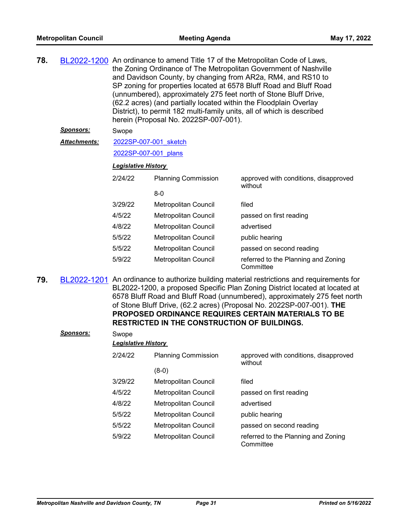| 78. |                     | BL2022-1200 An ordinance to amend Title 17 of the Metropolitan Code of Laws,<br>the Zoning Ordinance of The Metropolitan Government of Nashville<br>and Davidson County, by changing from AR2a, RM4, and RS10 to<br>SP zoning for properties located at 6578 Bluff Road and Bluff Road<br>(unnumbered), approximately 275 feet north of Stone Bluff Drive,<br>(62.2 acres) (and partially located within the Floodplain Overlay<br>District), to permit 182 multi-family units, all of which is described<br>herein (Proposal No. 2022SP-007-001). |                             |                                                                                                                                                                          |
|-----|---------------------|----------------------------------------------------------------------------------------------------------------------------------------------------------------------------------------------------------------------------------------------------------------------------------------------------------------------------------------------------------------------------------------------------------------------------------------------------------------------------------------------------------------------------------------------------|-----------------------------|--------------------------------------------------------------------------------------------------------------------------------------------------------------------------|
|     | <u>Sponsors:</u>    | Swope                                                                                                                                                                                                                                                                                                                                                                                                                                                                                                                                              |                             |                                                                                                                                                                          |
|     | <b>Attachments:</b> | 2022SP-007-001 sketch                                                                                                                                                                                                                                                                                                                                                                                                                                                                                                                              |                             |                                                                                                                                                                          |
|     |                     | 2022SP-007-001 plans                                                                                                                                                                                                                                                                                                                                                                                                                                                                                                                               |                             |                                                                                                                                                                          |
|     |                     | <b>Legislative History</b>                                                                                                                                                                                                                                                                                                                                                                                                                                                                                                                         |                             |                                                                                                                                                                          |
|     |                     | 2/24/22                                                                                                                                                                                                                                                                                                                                                                                                                                                                                                                                            | <b>Planning Commission</b>  | approved with conditions, disapproved<br>without                                                                                                                         |
|     |                     |                                                                                                                                                                                                                                                                                                                                                                                                                                                                                                                                                    | $8-0$                       |                                                                                                                                                                          |
|     |                     | 3/29/22                                                                                                                                                                                                                                                                                                                                                                                                                                                                                                                                            | <b>Metropolitan Council</b> | filed                                                                                                                                                                    |
|     |                     | 4/5/22                                                                                                                                                                                                                                                                                                                                                                                                                                                                                                                                             | <b>Metropolitan Council</b> | passed on first reading                                                                                                                                                  |
|     |                     | 4/8/22                                                                                                                                                                                                                                                                                                                                                                                                                                                                                                                                             | <b>Metropolitan Council</b> | advertised                                                                                                                                                               |
|     |                     | 5/5/22                                                                                                                                                                                                                                                                                                                                                                                                                                                                                                                                             | <b>Metropolitan Council</b> | public hearing                                                                                                                                                           |
|     |                     | 5/5/22                                                                                                                                                                                                                                                                                                                                                                                                                                                                                                                                             | <b>Metropolitan Council</b> | passed on second reading                                                                                                                                                 |
|     |                     | 5/9/22                                                                                                                                                                                                                                                                                                                                                                                                                                                                                                                                             | Metropolitan Council        | referred to the Planning and Zoning<br>Committee                                                                                                                         |
| 79. |                     |                                                                                                                                                                                                                                                                                                                                                                                                                                                                                                                                                    |                             | BL2022-1201 An ordinance to authorize building material restrictions and requirements for<br>RI 2022-1200 a proposed Specific Plan Zoning District located at located at |

BL2022-1200, a proposed Specific Plan Zoning District located at located at 6578 Bluff Road and Bluff Road (unnumbered), approximately 275 feet north of Stone Bluff Drive, (62.2 acres) (Proposal No. 2022SP-007-001). **THE PROPOSED ORDINANCE REQUIRES CERTAIN MATERIALS TO BE RESTRICTED IN THE CONSTRUCTION OF BUILDINGS.**

| <b>Sponsors:</b> | Swope<br><b>Legislative History</b> |                             |                                                  |
|------------------|-------------------------------------|-----------------------------|--------------------------------------------------|
|                  | 2/24/22                             | <b>Planning Commission</b>  | approved with conditions, disapproved<br>without |
|                  |                                     | $(8-0)$                     |                                                  |
|                  | 3/29/22                             | Metropolitan Council        | filed                                            |
|                  | 4/5/22                              | <b>Metropolitan Council</b> | passed on first reading                          |
|                  | 4/8/22                              | Metropolitan Council        | advertised                                       |
|                  | 5/5/22                              | Metropolitan Council        | public hearing                                   |
|                  | 5/5/22                              | Metropolitan Council        | passed on second reading                         |
|                  | 5/9/22                              | Metropolitan Council        | referred to the Planning and Zoning<br>Committee |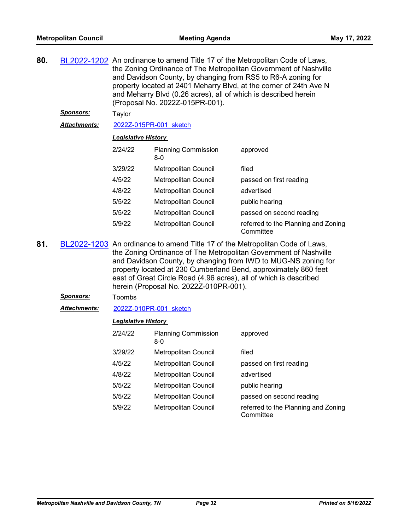| 80. |                     | BL2022-1202 An ordinance to amend Title 17 of the Metropolitan Code of Laws,<br>the Zoning Ordinance of The Metropolitan Government of Nashville<br>and Davidson County, by changing from RS5 to R6-A zoning for<br>property located at 2401 Meharry Blvd, at the corner of 24th Ave N<br>and Meharry Blvd (0.26 acres), all of which is described herein<br>(Proposal No. 2022Z-015PR-001).         |                                     |                                                  |
|-----|---------------------|------------------------------------------------------------------------------------------------------------------------------------------------------------------------------------------------------------------------------------------------------------------------------------------------------------------------------------------------------------------------------------------------------|-------------------------------------|--------------------------------------------------|
|     | <u>Sponsors:</u>    | Taylor                                                                                                                                                                                                                                                                                                                                                                                               |                                     |                                                  |
|     | <b>Attachments:</b> |                                                                                                                                                                                                                                                                                                                                                                                                      | 2022Z-015PR-001 sketch              |                                                  |
|     |                     | <b>Legislative History</b>                                                                                                                                                                                                                                                                                                                                                                           |                                     |                                                  |
|     |                     | 2/24/22                                                                                                                                                                                                                                                                                                                                                                                              | <b>Planning Commission</b><br>$8-0$ | approved                                         |
|     |                     | 3/29/22                                                                                                                                                                                                                                                                                                                                                                                              | Metropolitan Council                | filed                                            |
|     |                     | 4/5/22                                                                                                                                                                                                                                                                                                                                                                                               | <b>Metropolitan Council</b>         | passed on first reading                          |
|     |                     | 4/8/22                                                                                                                                                                                                                                                                                                                                                                                               | <b>Metropolitan Council</b>         | advertised                                       |
|     |                     | 5/5/22                                                                                                                                                                                                                                                                                                                                                                                               | <b>Metropolitan Council</b>         | public hearing                                   |
|     |                     | 5/5/22                                                                                                                                                                                                                                                                                                                                                                                               | <b>Metropolitan Council</b>         | passed on second reading                         |
|     |                     | 5/9/22                                                                                                                                                                                                                                                                                                                                                                                               | <b>Metropolitan Council</b>         | referred to the Planning and Zoning<br>Committee |
| 81. |                     | BL2022-1203 An ordinance to amend Title 17 of the Metropolitan Code of Laws,<br>the Zoning Ordinance of The Metropolitan Government of Nashville<br>and Davidson County, by changing from IWD to MUG-NS zoning for<br>property located at 230 Cumberland Bend, approximately 860 feet<br>east of Great Circle Road (4.96 acres), all of which is described<br>herein (Proposal No. 2022Z-010PR-001). |                                     |                                                  |

#### *Sponsors:* Toombs

*Attachments:* [2022Z-010PR-001\\_sketch](http://nashville.legistar.com/gateway.aspx?M=F&ID=144ad76b-d42a-4cb0-8b2f-f64fbb4d1c21.docx)

| 2/24/22 | <b>Planning Commission</b><br>8-0 | approved                                         |
|---------|-----------------------------------|--------------------------------------------------|
| 3/29/22 | Metropolitan Council              | filed                                            |
| 4/5/22  | Metropolitan Council              | passed on first reading                          |
| 4/8/22  | Metropolitan Council              | advertised                                       |
| 5/5/22  | Metropolitan Council              | public hearing                                   |
| 5/5/22  | Metropolitan Council              | passed on second reading                         |
| 5/9/22  | Metropolitan Council              | referred to the Planning and Zoning<br>Committee |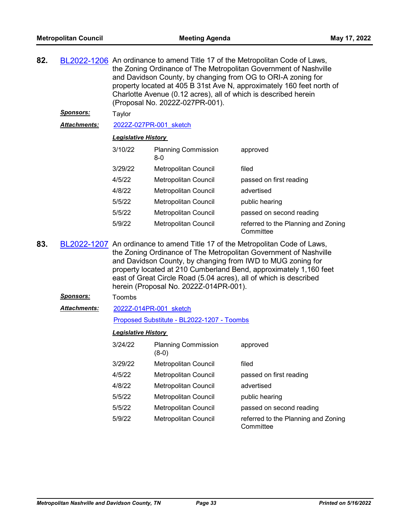| 82. |                  | BL2022-1206 An ordinance to amend Title 17 of the Metropolitan Code of Laws,<br>the Zoning Ordinance of The Metropolitan Government of Nashville<br>and Davidson County, by changing from OG to ORI-A zoning for<br>property located at 405 B 31st Ave N, approximately 160 feet north of<br>Charlotte Avenue (0.12 acres), all of which is described herein<br>(Proposal No. 2022Z-027PR-001).     |                                       |                                                  |  |  |
|-----|------------------|-----------------------------------------------------------------------------------------------------------------------------------------------------------------------------------------------------------------------------------------------------------------------------------------------------------------------------------------------------------------------------------------------------|---------------------------------------|--------------------------------------------------|--|--|
|     | <u>Sponsors:</u> | Taylor                                                                                                                                                                                                                                                                                                                                                                                              |                                       |                                                  |  |  |
|     | Attachments:     |                                                                                                                                                                                                                                                                                                                                                                                                     | 2022Z-027PR-001 sketch                |                                                  |  |  |
|     |                  | <b>Legislative History</b>                                                                                                                                                                                                                                                                                                                                                                          |                                       |                                                  |  |  |
|     |                  | 3/10/22                                                                                                                                                                                                                                                                                                                                                                                             | <b>Planning Commission</b><br>$8-0$   | approved                                         |  |  |
|     |                  | 3/29/22                                                                                                                                                                                                                                                                                                                                                                                             | Metropolitan Council                  | filed                                            |  |  |
|     |                  | 4/5/22                                                                                                                                                                                                                                                                                                                                                                                              | Metropolitan Council                  | passed on first reading                          |  |  |
|     |                  | 4/8/22                                                                                                                                                                                                                                                                                                                                                                                              | <b>Metropolitan Council</b>           | advertised                                       |  |  |
|     |                  | 5/5/22                                                                                                                                                                                                                                                                                                                                                                                              | Metropolitan Council                  | public hearing                                   |  |  |
|     |                  | 5/5/22                                                                                                                                                                                                                                                                                                                                                                                              | Metropolitan Council                  | passed on second reading                         |  |  |
|     |                  | 5/9/22                                                                                                                                                                                                                                                                                                                                                                                              | Metropolitan Council                  | referred to the Planning and Zoning<br>Committee |  |  |
| 83. |                  | BL2022-1207 An ordinance to amend Title 17 of the Metropolitan Code of Laws,<br>the Zoning Ordinance of The Metropolitan Government of Nashville<br>and Davidson County, by changing from IWD to MUG zoning for<br>property located at 210 Cumberland Bend, approximately 1,160 feet<br>east of Great Circle Road (5.04 acres), all of which is described<br>herein (Proposal No. 2022Z-014PR-001). |                                       |                                                  |  |  |
|     | Sponsors:        | Toombs                                                                                                                                                                                                                                                                                                                                                                                              |                                       |                                                  |  |  |
|     | Attachments:     |                                                                                                                                                                                                                                                                                                                                                                                                     | 2022Z-014PR-001 sketch                |                                                  |  |  |
|     |                  | Proposed Substitute - BL2022-1207 - Toombs                                                                                                                                                                                                                                                                                                                                                          |                                       |                                                  |  |  |
|     |                  | <b>Legislative History</b>                                                                                                                                                                                                                                                                                                                                                                          |                                       |                                                  |  |  |
|     |                  | 3/24/22                                                                                                                                                                                                                                                                                                                                                                                             | <b>Planning Commission</b><br>$(8-0)$ | approved                                         |  |  |
|     |                  | 3/29/22                                                                                                                                                                                                                                                                                                                                                                                             | Metropolitan Council                  | filed                                            |  |  |
|     |                  | 4/5/22                                                                                                                                                                                                                                                                                                                                                                                              | Metropolitan Council                  | passed on first reading                          |  |  |
|     |                  | 4/8/22                                                                                                                                                                                                                                                                                                                                                                                              | <b>Metropolitan Council</b>           | advertised                                       |  |  |
|     |                  | 5/5/22                                                                                                                                                                                                                                                                                                                                                                                              | Metropolitan Council                  | public hearing                                   |  |  |
|     |                  | 5/5/22                                                                                                                                                                                                                                                                                                                                                                                              | Metropolitan Council                  | passed on second reading                         |  |  |
|     |                  | 5/9/22                                                                                                                                                                                                                                                                                                                                                                                              | Metropolitan Council                  | referred to the Planning and Zoning<br>Committee |  |  |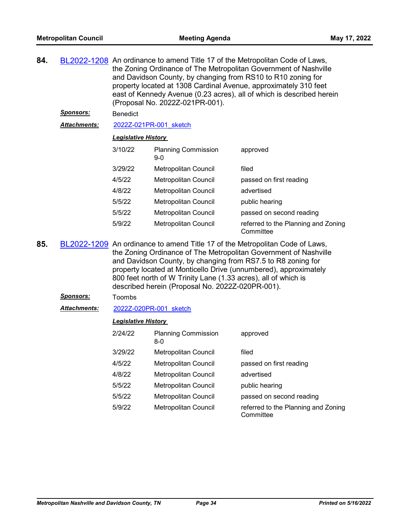| 84.                                    |                  |                                                                                                                                                                                                                                                                                                                                                        | and Davidson County, by changing from RS10 to R10 zoning for<br>(Proposal No. 2022Z-021PR-001). | BL2022-1208 An ordinance to amend Title 17 of the Metropolitan Code of Laws,<br>the Zoning Ordinance of The Metropolitan Government of Nashville<br>property located at 1308 Cardinal Avenue, approximately 310 feet<br>east of Kennedy Avenue (0.23 acres), all of which is described herein |  |  |
|----------------------------------------|------------------|--------------------------------------------------------------------------------------------------------------------------------------------------------------------------------------------------------------------------------------------------------------------------------------------------------------------------------------------------------|-------------------------------------------------------------------------------------------------|-----------------------------------------------------------------------------------------------------------------------------------------------------------------------------------------------------------------------------------------------------------------------------------------------|--|--|
|                                        | <u>Sponsors:</u> | <b>Benedict</b>                                                                                                                                                                                                                                                                                                                                        |                                                                                                 |                                                                                                                                                                                                                                                                                               |  |  |
| Attachments:<br>2022Z-021PR-001 sketch |                  |                                                                                                                                                                                                                                                                                                                                                        |                                                                                                 |                                                                                                                                                                                                                                                                                               |  |  |
|                                        |                  |                                                                                                                                                                                                                                                                                                                                                        | <b>Legislative History</b>                                                                      |                                                                                                                                                                                                                                                                                               |  |  |
|                                        |                  | 3/10/22                                                                                                                                                                                                                                                                                                                                                | <b>Planning Commission</b><br>$9-0$                                                             | approved                                                                                                                                                                                                                                                                                      |  |  |
|                                        |                  | 3/29/22                                                                                                                                                                                                                                                                                                                                                | Metropolitan Council                                                                            | filed                                                                                                                                                                                                                                                                                         |  |  |
|                                        |                  | 4/5/22                                                                                                                                                                                                                                                                                                                                                 | Metropolitan Council                                                                            | passed on first reading                                                                                                                                                                                                                                                                       |  |  |
|                                        |                  | 4/8/22                                                                                                                                                                                                                                                                                                                                                 | Metropolitan Council                                                                            | advertised                                                                                                                                                                                                                                                                                    |  |  |
|                                        |                  | 5/5/22                                                                                                                                                                                                                                                                                                                                                 | Metropolitan Council                                                                            | public hearing                                                                                                                                                                                                                                                                                |  |  |
|                                        |                  | 5/5/22                                                                                                                                                                                                                                                                                                                                                 | Metropolitan Council                                                                            | passed on second reading                                                                                                                                                                                                                                                                      |  |  |
|                                        |                  | 5/9/22                                                                                                                                                                                                                                                                                                                                                 | <b>Metropolitan Council</b>                                                                     | referred to the Planning and Zoning<br>Committee                                                                                                                                                                                                                                              |  |  |
| 85.                                    |                  | BL2022-1209 An ordinance to amend Title 17 of the Metropolitan Code of Laws,<br>the Zoning Ordinance of The Metropolitan Government of Nashville<br>and Davidson County, by changing from RS7.5 to R8 zoning for<br>property located at Monticello Drive (unnumbered), approximately<br>800 feet north of W Trinity Lane (1.33 acres), all of which is |                                                                                                 |                                                                                                                                                                                                                                                                                               |  |  |

- described herein (Proposal No. 2022Z-020PR-001). *Sponsors:* Toombs
- *Attachments:* [2022Z-020PR-001\\_sketch](http://nashville.legistar.com/gateway.aspx?M=F&ID=dd001182-ca44-4a92-aaec-a6d344a15687.docx)

| 2/24/22 | <b>Planning Commission</b><br>$8-0$ | approved                                         |
|---------|-------------------------------------|--------------------------------------------------|
| 3/29/22 | Metropolitan Council                | filed                                            |
| 4/5/22  | Metropolitan Council                | passed on first reading                          |
| 4/8/22  | Metropolitan Council                | advertised                                       |
| 5/5/22  | <b>Metropolitan Council</b>         | public hearing                                   |
| 5/5/22  | Metropolitan Council                | passed on second reading                         |
| 5/9/22  | Metropolitan Council                | referred to the Planning and Zoning<br>Committee |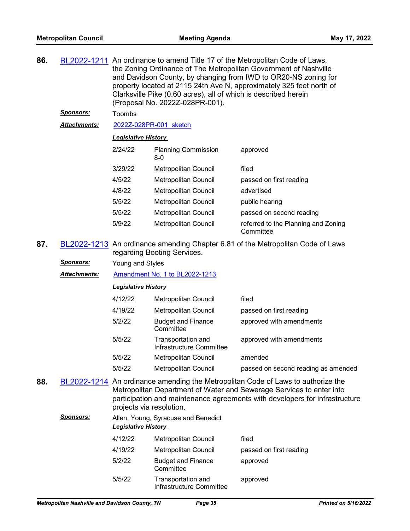| 86. |                      |                            | Clarksville Pike (0.60 acres), all of which is described herein<br>(Proposal No. 2022Z-028PR-001). | BL2022-1211 An ordinance to amend Title 17 of the Metropolitan Code of Laws,<br>the Zoning Ordinance of The Metropolitan Government of Nashville<br>and Davidson County, by changing from IWD to OR20-NS zoning for<br>property located at 2115 24th Ave N, approximately 325 feet north of |
|-----|----------------------|----------------------------|----------------------------------------------------------------------------------------------------|---------------------------------------------------------------------------------------------------------------------------------------------------------------------------------------------------------------------------------------------------------------------------------------------|
|     | <u>Sponsors:</u>     | Toombs                     |                                                                                                    |                                                                                                                                                                                                                                                                                             |
|     | Attachments:         |                            | 2022Z-028PR-001 sketch                                                                             |                                                                                                                                                                                                                                                                                             |
|     |                      | <b>Legislative History</b> |                                                                                                    |                                                                                                                                                                                                                                                                                             |
|     |                      | 2/24/22                    | <b>Planning Commission</b><br>$8-0$                                                                | approved                                                                                                                                                                                                                                                                                    |
|     |                      | 3/29/22                    | Metropolitan Council                                                                               | filed                                                                                                                                                                                                                                                                                       |
|     |                      | 4/5/22                     | Metropolitan Council                                                                               | passed on first reading                                                                                                                                                                                                                                                                     |
|     |                      | 4/8/22                     | <b>Metropolitan Council</b>                                                                        | advertised                                                                                                                                                                                                                                                                                  |
|     |                      | 5/5/22                     | Metropolitan Council                                                                               | public hearing                                                                                                                                                                                                                                                                              |
|     |                      | 5/5/22                     | <b>Metropolitan Council</b>                                                                        | passed on second reading                                                                                                                                                                                                                                                                    |
|     |                      | 5/9/22                     | Metropolitan Council                                                                               | referred to the Planning and Zoning<br>Committee                                                                                                                                                                                                                                            |
| 87. |                      |                            | regarding Booting Services.                                                                        | BL2022-1213 An ordinance amending Chapter 6.81 of the Metropolitan Code of Laws                                                                                                                                                                                                             |
|     | <u>Sponsors:</u>     | Young and Styles           |                                                                                                    |                                                                                                                                                                                                                                                                                             |
|     | <u> Attachments:</u> |                            | Amendment No. 1 to BL2022-1213                                                                     |                                                                                                                                                                                                                                                                                             |
|     |                      | <b>Legislative History</b> |                                                                                                    |                                                                                                                                                                                                                                                                                             |
|     |                      | 4/12/22                    | Metropolitan Council                                                                               | filed                                                                                                                                                                                                                                                                                       |
|     |                      | 4/19/22                    | <b>Metropolitan Council</b>                                                                        | passed on first reading                                                                                                                                                                                                                                                                     |
|     |                      | 5/2/22                     | <b>Budget and Finance</b><br>Committee                                                             | approved with amendments                                                                                                                                                                                                                                                                    |
|     |                      | 5/5/22                     | Transportation and<br>Infrastructure Committee                                                     | approved with amendments                                                                                                                                                                                                                                                                    |
|     |                      | 5/5/22                     | Metropolitan Council                                                                               | amended                                                                                                                                                                                                                                                                                     |
|     |                      | 5/5/22                     | Metropolitan Council                                                                               | passed on second reading as amended                                                                                                                                                                                                                                                         |
| 88. |                      | projects via resolution.   |                                                                                                    | BL2022-1214 An ordinance amending the Metropolitan Code of Laws to authorize the<br>Metropolitan Department of Water and Sewerage Services to enter into<br>participation and maintenance agreements with developers for infrastructure                                                     |
|     | <u>Sponsors:</u>     | <b>Legislative History</b> | Allen, Young, Syracuse and Benedict                                                                |                                                                                                                                                                                                                                                                                             |
|     |                      | 4/12/22                    | Metropolitan Council                                                                               | filed                                                                                                                                                                                                                                                                                       |
|     |                      | 4/19/22                    | <b>Metropolitan Council</b>                                                                        | passed on first reading                                                                                                                                                                                                                                                                     |
|     |                      | 5/2/22                     | <b>Budget and Finance</b><br>Committee                                                             | approved                                                                                                                                                                                                                                                                                    |
|     |                      | 5/5/22                     | Transportation and<br>Infrastructure Committee                                                     | approved                                                                                                                                                                                                                                                                                    |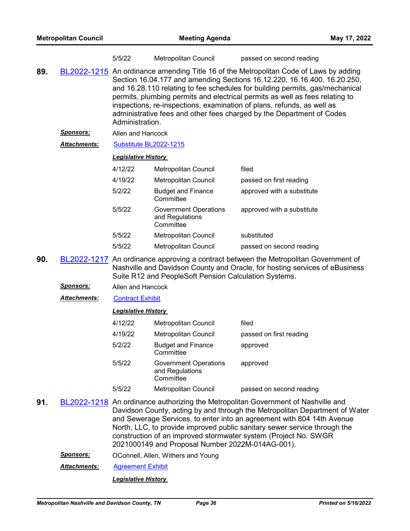|     |                  | 5/5/22                                                                                                                                                                                                                                                                                                                                                                                                                                                                                                  | Metropolitan Council                                         | passed on second reading                                                                                                                                            |  |
|-----|------------------|---------------------------------------------------------------------------------------------------------------------------------------------------------------------------------------------------------------------------------------------------------------------------------------------------------------------------------------------------------------------------------------------------------------------------------------------------------------------------------------------------------|--------------------------------------------------------------|---------------------------------------------------------------------------------------------------------------------------------------------------------------------|--|
| 89. |                  | BL2022-1215 An ordinance amending Title 16 of the Metropolitan Code of Laws by adding<br>Section 16.04.177 and amending Sections 16.12.220, 16.16.400, 16.20.250,<br>and 16.28.110 relating to fee schedules for building permits, gas/mechanical<br>permits, plumbing permits and electrical permits as well as fees relating to<br>inspections, re-inspections, examination of plans, refunds, as well as<br>administrative fees and other fees charged by the Department of Codes<br>Administration. |                                                              |                                                                                                                                                                     |  |
|     | <u>Sponsors:</u> | Allen and Hancock                                                                                                                                                                                                                                                                                                                                                                                                                                                                                       |                                                              |                                                                                                                                                                     |  |
|     | Attachments:     | Substitute BL2022-1215                                                                                                                                                                                                                                                                                                                                                                                                                                                                                  |                                                              |                                                                                                                                                                     |  |
|     |                  | <b>Legislative History</b>                                                                                                                                                                                                                                                                                                                                                                                                                                                                              |                                                              |                                                                                                                                                                     |  |
|     |                  | 4/12/22                                                                                                                                                                                                                                                                                                                                                                                                                                                                                                 | Metropolitan Council                                         | filed                                                                                                                                                               |  |
|     |                  | 4/19/22                                                                                                                                                                                                                                                                                                                                                                                                                                                                                                 | <b>Metropolitan Council</b>                                  | passed on first reading                                                                                                                                             |  |
|     |                  | 5/2/22                                                                                                                                                                                                                                                                                                                                                                                                                                                                                                  | <b>Budget and Finance</b><br>Committee                       | approved with a substitute                                                                                                                                          |  |
|     |                  | 5/5/22                                                                                                                                                                                                                                                                                                                                                                                                                                                                                                  | <b>Government Operations</b><br>and Regulations<br>Committee | approved with a substitute                                                                                                                                          |  |
|     |                  | 5/5/22                                                                                                                                                                                                                                                                                                                                                                                                                                                                                                  | Metropolitan Council                                         | substituted                                                                                                                                                         |  |
|     |                  | 5/5/22                                                                                                                                                                                                                                                                                                                                                                                                                                                                                                  | Metropolitan Council                                         | passed on second reading                                                                                                                                            |  |
| 90. |                  |                                                                                                                                                                                                                                                                                                                                                                                                                                                                                                         | Suite R12 and PeopleSoft Pension Calculation Systems.        | BL2022-1217 An ordinance approving a contract between the Metropolitan Government of<br>Nashville and Davidson County and Oracle, for hosting services of eBusiness |  |
|     | <u>Sponsors:</u> | Allen and Hancock                                                                                                                                                                                                                                                                                                                                                                                                                                                                                       |                                                              |                                                                                                                                                                     |  |
|     | Attachments:     | <b>Contract Exhibit</b>                                                                                                                                                                                                                                                                                                                                                                                                                                                                                 |                                                              |                                                                                                                                                                     |  |
|     |                  | <b>Legislative History</b>                                                                                                                                                                                                                                                                                                                                                                                                                                                                              |                                                              |                                                                                                                                                                     |  |
|     |                  | 4/12/22                                                                                                                                                                                                                                                                                                                                                                                                                                                                                                 | Metropolitan Council                                         | filed                                                                                                                                                               |  |
|     |                  | 4/19/22                                                                                                                                                                                                                                                                                                                                                                                                                                                                                                 | Metropolitan Council                                         | passed on first reading                                                                                                                                             |  |
|     |                  | 5/2/22                                                                                                                                                                                                                                                                                                                                                                                                                                                                                                  | <b>Budget and Finance</b><br>Committee                       | approved                                                                                                                                                            |  |
|     |                  | 5/5/22                                                                                                                                                                                                                                                                                                                                                                                                                                                                                                  | <b>Government Operations</b><br>and Regulations<br>Committee | approved                                                                                                                                                            |  |
|     |                  | 5/5/22                                                                                                                                                                                                                                                                                                                                                                                                                                                                                                  | Metropolitan Council                                         | passed on second reading                                                                                                                                            |  |
|     | nnnn snan        |                                                                                                                                                                                                                                                                                                                                                                                                                                                                                                         |                                                              | An endingnee quite primire the Metropolitan Covernment of Negleculle and                                                                                            |  |

- **91.** [BL2022-1218](http://nashville.legistar.com/gateway.aspx?m=l&id=/matter.aspx?key=14355) An ordinance authorizing the Metropolitan Government of Nashville and Davidson County, acting by and through the Metropolitan Department of Water and Sewerage Services, to enter into an agreement with 804 14th Avenue North, LLC, to provide improved public sanitary sewer service through the construction of an improved stormwater system (Project No. SWGR 2021000149 and Proposal Number 2022M-014AG-001).
	- *Sponsors:* OConnell, Allen, Withers and Young
	- *Attachments:* [Agreement Exhibit](http://nashville.legistar.com/gateway.aspx?M=F&ID=27a57169-e6c7-4e62-a5b0-e0b8f5435feb.pdf)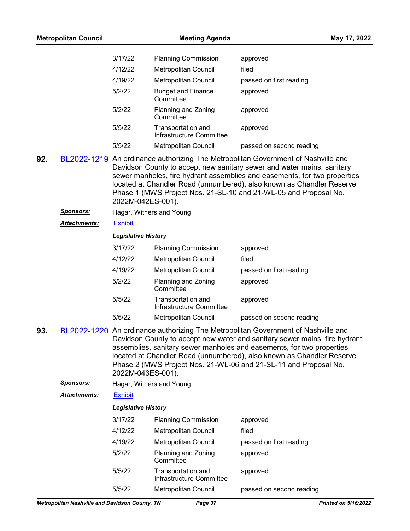| <b>Metropolitan Council</b> |                     |                            | <b>Meeting Agenda</b>                          | May 17, 2022                                                                                                                                                                                                                                                                                                                                                                          |
|-----------------------------|---------------------|----------------------------|------------------------------------------------|---------------------------------------------------------------------------------------------------------------------------------------------------------------------------------------------------------------------------------------------------------------------------------------------------------------------------------------------------------------------------------------|
|                             |                     | 3/17/22                    | <b>Planning Commission</b>                     | approved                                                                                                                                                                                                                                                                                                                                                                              |
|                             |                     | 4/12/22                    | <b>Metropolitan Council</b>                    | filed                                                                                                                                                                                                                                                                                                                                                                                 |
|                             |                     | 4/19/22                    | <b>Metropolitan Council</b>                    | passed on first reading                                                                                                                                                                                                                                                                                                                                                               |
|                             |                     | 5/2/22                     | <b>Budget and Finance</b><br>Committee         | approved                                                                                                                                                                                                                                                                                                                                                                              |
|                             |                     | 5/2/22                     | Planning and Zoning<br>Committee               | approved                                                                                                                                                                                                                                                                                                                                                                              |
|                             |                     | 5/5/22                     | Transportation and<br>Infrastructure Committee | approved                                                                                                                                                                                                                                                                                                                                                                              |
|                             |                     | 5/5/22                     | Metropolitan Council                           | passed on second reading                                                                                                                                                                                                                                                                                                                                                              |
| 92.                         |                     | 2022M-042ES-001).          |                                                | BL2022-1219 An ordinance authorizing The Metropolitan Government of Nashville and<br>Davidson County to accept new sanitary sewer and water mains, sanitary<br>sewer manholes, fire hydrant assemblies and easements, for two properties<br>located at Chandler Road (unnumbered), also known as Chandler Reserve<br>Phase 1 (MWS Project Nos. 21-SL-10 and 21-WL-05 and Proposal No. |
|                             | Sponsors:           |                            | Hagar, Withers and Young                       |                                                                                                                                                                                                                                                                                                                                                                                       |
|                             | Attachments:        | <b>Exhibit</b>             |                                                |                                                                                                                                                                                                                                                                                                                                                                                       |
|                             |                     | <b>Legislative History</b> |                                                |                                                                                                                                                                                                                                                                                                                                                                                       |
|                             |                     | 3/17/22                    | <b>Planning Commission</b>                     | approved                                                                                                                                                                                                                                                                                                                                                                              |
|                             |                     | 4/12/22                    | Metropolitan Council                           | filed                                                                                                                                                                                                                                                                                                                                                                                 |
|                             |                     | 4/19/22                    | <b>Metropolitan Council</b>                    | passed on first reading                                                                                                                                                                                                                                                                                                                                                               |
|                             |                     | 5/2/22                     | Planning and Zoning<br>Committee               | approved                                                                                                                                                                                                                                                                                                                                                                              |
|                             |                     | 5/5/22                     | Transportation and<br>Infrastructure Committee | approved                                                                                                                                                                                                                                                                                                                                                                              |
|                             |                     | 5/5/22                     | Metropolitan Council                           | passed on second reading                                                                                                                                                                                                                                                                                                                                                              |
| 93                          |                     | 2022M-043ES-001).          |                                                | BL2022-1220 An ordinance authorizing The Metropolitan Government of Nashville and<br>Davidson County to accept new water and sanitary sewer mains, fire hydrant<br>assemblies, sanitary sewer manholes and easements, for two properties<br>located at Chandler Road (unnumbered), also known as Chandler Reserve<br>Phase 2 (MWS Project Nos. 21-WL-06 and 21-SL-11 and Proposal No. |
|                             | <b>Sponsors:</b>    |                            | Hagar, Withers and Young                       |                                                                                                                                                                                                                                                                                                                                                                                       |
|                             | <b>Attachments:</b> | <b>Exhibit</b>             |                                                |                                                                                                                                                                                                                                                                                                                                                                                       |
|                             |                     | <b>Legislative History</b> |                                                |                                                                                                                                                                                                                                                                                                                                                                                       |
|                             |                     | 3/17/22                    | <b>Planning Commission</b>                     | approved                                                                                                                                                                                                                                                                                                                                                                              |
|                             |                     | 4/12/22                    | Metropolitan Council                           | filed                                                                                                                                                                                                                                                                                                                                                                                 |
|                             |                     | 4/19/22                    | Metropolitan Council                           | passed on first reading                                                                                                                                                                                                                                                                                                                                                               |
|                             |                     | 5/2/22                     | Planning and Zoning<br>Committee               | approved                                                                                                                                                                                                                                                                                                                                                                              |
|                             |                     | 5/5/22                     | Transportation and<br>Infrastructure Committee | approved                                                                                                                                                                                                                                                                                                                                                                              |
|                             |                     | 5/5/22                     | Metropolitan Council                           | passed on second reading                                                                                                                                                                                                                                                                                                                                                              |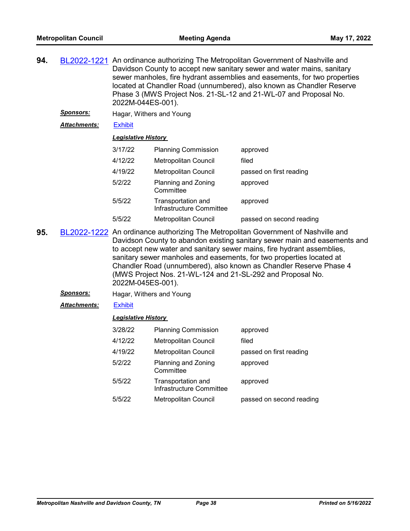**94.** [BL2022-1221](http://nashville.legistar.com/gateway.aspx?m=l&id=/matter.aspx?key=14348) An ordinance authorizing The Metropolitan Government of Nashville and Davidson County to accept new sanitary sewer and water mains, sanitary sewer manholes, fire hydrant assemblies and easements, for two properties located at Chandler Road (unnumbered), also known as Chandler Reserve Phase 3 (MWS Project Nos. 21-SL-12 and 21-WL-07 and Proposal No. 2022M-044ES-001).

*Sponsors:* Hagar, Withers and Young

*Attachments:* [Exhibit](http://nashville.legistar.com/gateway.aspx?M=F&ID=f1f6fe6b-77bb-47ed-879d-5b18537bb3a0.pdf)

#### *Legislative History*

| 3/17/22 | <b>Planning Commission</b>                     | approved                 |
|---------|------------------------------------------------|--------------------------|
| 4/12/22 | <b>Metropolitan Council</b>                    | filed                    |
| 4/19/22 | <b>Metropolitan Council</b>                    | passed on first reading  |
| 5/2/22  | Planning and Zoning<br>Committee               | approved                 |
| 5/5/22  | Transportation and<br>Infrastructure Committee | approved                 |
| 5/5/22  | <b>Metropolitan Council</b>                    | passed on second reading |

- **95.** [BL2022-1222](http://nashville.legistar.com/gateway.aspx?m=l&id=/matter.aspx?key=14359) An ordinance authorizing The Metropolitan Government of Nashville and Davidson County to abandon existing sanitary sewer main and easements and to accept new water and sanitary sewer mains, fire hydrant assemblies, sanitary sewer manholes and easements, for two properties located at Chandler Road (unnumbered), also known as Chandler Reserve Phase 4 (MWS Project Nos. 21-WL-124 and 21-SL-292 and Proposal No. 2022M-045ES-001).
	- *Sponsors:* Hagar, Withers and Young

*Attachments:* [Exhibit](http://nashville.legistar.com/gateway.aspx?M=F&ID=8c2cb7af-aded-4b0c-9c5c-422c5b33de17.pdf)

| 3/28/22 | <b>Planning Commission</b>                     | approved                 |
|---------|------------------------------------------------|--------------------------|
| 4/12/22 | <b>Metropolitan Council</b>                    | filed                    |
| 4/19/22 | <b>Metropolitan Council</b>                    | passed on first reading  |
| 5/2/22  | Planning and Zoning<br>Committee               | approved                 |
| 5/5/22  | Transportation and<br>Infrastructure Committee | approved                 |
| 5/5/22  | <b>Metropolitan Council</b>                    | passed on second reading |
|         |                                                |                          |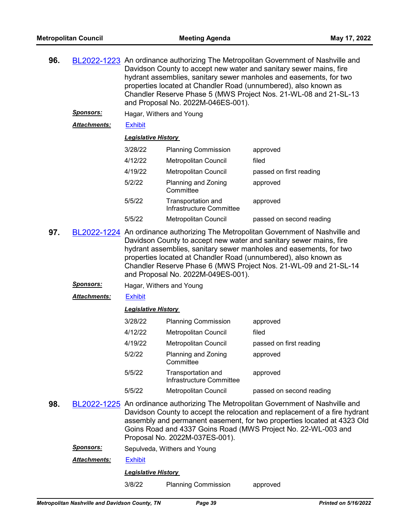| 96. |                     | BL2022-1223 An ordinance authorizing The Metropolitan Government of Nashville and<br>Davidson County to accept new water and sanitary sewer mains, fire<br>hydrant assemblies, sanitary sewer manholes and easements, for two<br>properties located at Chandler Road (unnumbered), also known as<br>Chandler Reserve Phase 5 (MWS Project Nos. 21-WL-08 and 21-SL-13<br>and Proposal No. 2022M-046ES-001). |                                                |                                                                                                                                                                                                                                                                                                             |  |  |  |
|-----|---------------------|------------------------------------------------------------------------------------------------------------------------------------------------------------------------------------------------------------------------------------------------------------------------------------------------------------------------------------------------------------------------------------------------------------|------------------------------------------------|-------------------------------------------------------------------------------------------------------------------------------------------------------------------------------------------------------------------------------------------------------------------------------------------------------------|--|--|--|
|     | <u>Sponsors:</u>    | Hagar, Withers and Young                                                                                                                                                                                                                                                                                                                                                                                   |                                                |                                                                                                                                                                                                                                                                                                             |  |  |  |
|     | <b>Attachments:</b> | <b>Exhibit</b>                                                                                                                                                                                                                                                                                                                                                                                             |                                                |                                                                                                                                                                                                                                                                                                             |  |  |  |
|     |                     | <b>Legislative History</b>                                                                                                                                                                                                                                                                                                                                                                                 |                                                |                                                                                                                                                                                                                                                                                                             |  |  |  |
|     |                     | 3/28/22                                                                                                                                                                                                                                                                                                                                                                                                    | <b>Planning Commission</b>                     | approved                                                                                                                                                                                                                                                                                                    |  |  |  |
|     |                     | 4/12/22                                                                                                                                                                                                                                                                                                                                                                                                    | Metropolitan Council                           | filed                                                                                                                                                                                                                                                                                                       |  |  |  |
|     |                     | 4/19/22                                                                                                                                                                                                                                                                                                                                                                                                    | Metropolitan Council                           | passed on first reading                                                                                                                                                                                                                                                                                     |  |  |  |
|     |                     | 5/2/22                                                                                                                                                                                                                                                                                                                                                                                                     | Planning and Zoning<br>Committee               | approved                                                                                                                                                                                                                                                                                                    |  |  |  |
|     |                     | 5/5/22                                                                                                                                                                                                                                                                                                                                                                                                     | Transportation and<br>Infrastructure Committee | approved                                                                                                                                                                                                                                                                                                    |  |  |  |
|     |                     | 5/5/22                                                                                                                                                                                                                                                                                                                                                                                                     | Metropolitan Council                           | passed on second reading                                                                                                                                                                                                                                                                                    |  |  |  |
| 97. |                     | BL2022-1224 An ordinance authorizing The Metropolitan Government of Nashville and<br>Davidson County to accept new water and sanitary sewer mains, fire<br>hydrant assemblies, sanitary sewer manholes and easements, for two<br>properties located at Chandler Road (unnumbered), also known as<br>Chandler Reserve Phase 6 (MWS Project Nos. 21-WL-09 and 21-SL-14<br>and Proposal No. 2022M-049ES-001). |                                                |                                                                                                                                                                                                                                                                                                             |  |  |  |
|     | <u>Sponsors:</u>    | Hagar, Withers and Young                                                                                                                                                                                                                                                                                                                                                                                   |                                                |                                                                                                                                                                                                                                                                                                             |  |  |  |
|     | <b>Attachments:</b> | <b>Exhibit</b>                                                                                                                                                                                                                                                                                                                                                                                             |                                                |                                                                                                                                                                                                                                                                                                             |  |  |  |
|     |                     | <b>Legislative History</b>                                                                                                                                                                                                                                                                                                                                                                                 |                                                |                                                                                                                                                                                                                                                                                                             |  |  |  |
|     |                     | 3/28/22                                                                                                                                                                                                                                                                                                                                                                                                    | <b>Planning Commission</b>                     | approved                                                                                                                                                                                                                                                                                                    |  |  |  |
|     |                     | 4/12/22                                                                                                                                                                                                                                                                                                                                                                                                    | Metropolitan Council                           | filed                                                                                                                                                                                                                                                                                                       |  |  |  |
|     |                     | 4/19/22                                                                                                                                                                                                                                                                                                                                                                                                    | Metropolitan Council                           | passed on first reading                                                                                                                                                                                                                                                                                     |  |  |  |
|     |                     | 5/2/22                                                                                                                                                                                                                                                                                                                                                                                                     | Planning and Zoning<br>Committee               | approved                                                                                                                                                                                                                                                                                                    |  |  |  |
|     |                     | 5/5/22                                                                                                                                                                                                                                                                                                                                                                                                     | Transportation and<br>Infrastructure Committee | approved                                                                                                                                                                                                                                                                                                    |  |  |  |
|     |                     | 5/5/22                                                                                                                                                                                                                                                                                                                                                                                                     | Metropolitan Council                           | passed on second reading                                                                                                                                                                                                                                                                                    |  |  |  |
| 98. |                     |                                                                                                                                                                                                                                                                                                                                                                                                            |                                                | BL2022-1225 An ordinance authorizing The Metropolitan Government of Nashville and<br>Davidson County to accept the relocation and replacement of a fire hydrant<br>assembly and permanent easement, for two properties located at 4323 Old<br>Goins Road and 4337 Goins Road (MWS Project No. 22-WL-003 and |  |  |  |

*Sponsors:* Sepulveda, Withers and Young

*Attachments:* [Exhibit](http://nashville.legistar.com/gateway.aspx?M=F&ID=9406d6b2-37ea-438b-b2c7-283c03d29250.pdf)

*Legislative History* 

3/8/22 Planning Commission approved

Proposal No. 2022M-037ES-001).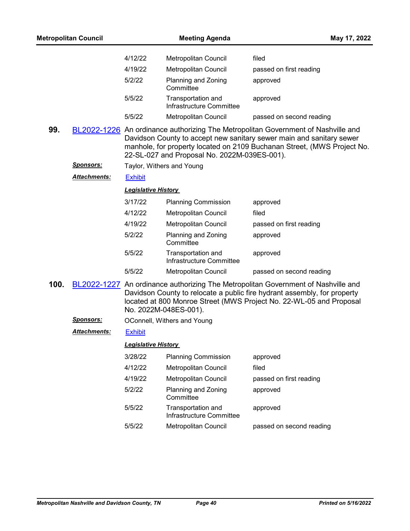| <b>Metropolitan Council</b> |                     | <b>Meeting Agenda</b>      |                                                | May 17, 2022                                                                                                                                                                                                                         |
|-----------------------------|---------------------|----------------------------|------------------------------------------------|--------------------------------------------------------------------------------------------------------------------------------------------------------------------------------------------------------------------------------------|
|                             |                     | 4/12/22                    | Metropolitan Council                           | filed                                                                                                                                                                                                                                |
|                             |                     | 4/19/22                    | <b>Metropolitan Council</b>                    | passed on first reading                                                                                                                                                                                                              |
|                             |                     | 5/2/22                     | Planning and Zoning<br>Committee               | approved                                                                                                                                                                                                                             |
|                             |                     | 5/5/22                     | Transportation and<br>Infrastructure Committee | approved                                                                                                                                                                                                                             |
|                             |                     | 5/5/22                     | <b>Metropolitan Council</b>                    | passed on second reading                                                                                                                                                                                                             |
| 99.                         |                     |                            | 22-SL-027 and Proposal No. 2022M-039ES-001).   | BL2022-1226 An ordinance authorizing The Metropolitan Government of Nashville and<br>Davidson County to accept new sanitary sewer main and sanitary sewer<br>manhole, for property located on 2109 Buchanan Street, (MWS Project No. |
|                             | <u>Sponsors:</u>    |                            | Taylor, Withers and Young                      |                                                                                                                                                                                                                                      |
|                             | <b>Attachments:</b> | <b>Exhibit</b>             |                                                |                                                                                                                                                                                                                                      |
|                             |                     | <b>Legislative History</b> |                                                |                                                                                                                                                                                                                                      |
|                             |                     | 3/17/22                    | <b>Planning Commission</b>                     | approved                                                                                                                                                                                                                             |
|                             |                     | 4/12/22                    | <b>Metropolitan Council</b>                    | filed                                                                                                                                                                                                                                |
|                             |                     | 4/19/22                    | Metropolitan Council                           | passed on first reading                                                                                                                                                                                                              |
|                             |                     | 5/2/22                     | Planning and Zoning<br>Committee               | approved                                                                                                                                                                                                                             |
|                             |                     | 5/5/22                     | Transportation and<br>Infrastructure Committee | approved                                                                                                                                                                                                                             |
|                             |                     | 5/5/22                     | Metropolitan Council                           | passed on second reading                                                                                                                                                                                                             |
| 100.                        |                     |                            | No. 2022M-048ES-001).                          | BL2022-1227 An ordinance authorizing The Metropolitan Government of Nashville and<br>Davidson County to relocate a public fire hydrant assembly, for property<br>located at 800 Monroe Street (MWS Project No. 22-WL-05 and Proposal |
|                             | <b>Sponsors:</b>    |                            | OConnell, Withers and Young                    |                                                                                                                                                                                                                                      |
|                             | Attachments:        | <b>Exhibit</b>             |                                                |                                                                                                                                                                                                                                      |
|                             |                     | <b>Legislative History</b> |                                                |                                                                                                                                                                                                                                      |
|                             |                     | 3/28/22                    | <b>Planning Commission</b>                     | approved                                                                                                                                                                                                                             |
|                             |                     | 4/12/22                    | Metropolitan Council                           | filed                                                                                                                                                                                                                                |
|                             |                     | 4/19/22                    | Metropolitan Council                           | passed on first reading                                                                                                                                                                                                              |
|                             |                     | 5/2/22                     | Planning and Zoning<br>Committee               | approved                                                                                                                                                                                                                             |
|                             |                     | 5/5/22                     | Transportation and<br>Infrastructure Committee | approved                                                                                                                                                                                                                             |
|                             |                     | 5/5/22                     | Metropolitan Council                           | passed on second reading                                                                                                                                                                                                             |